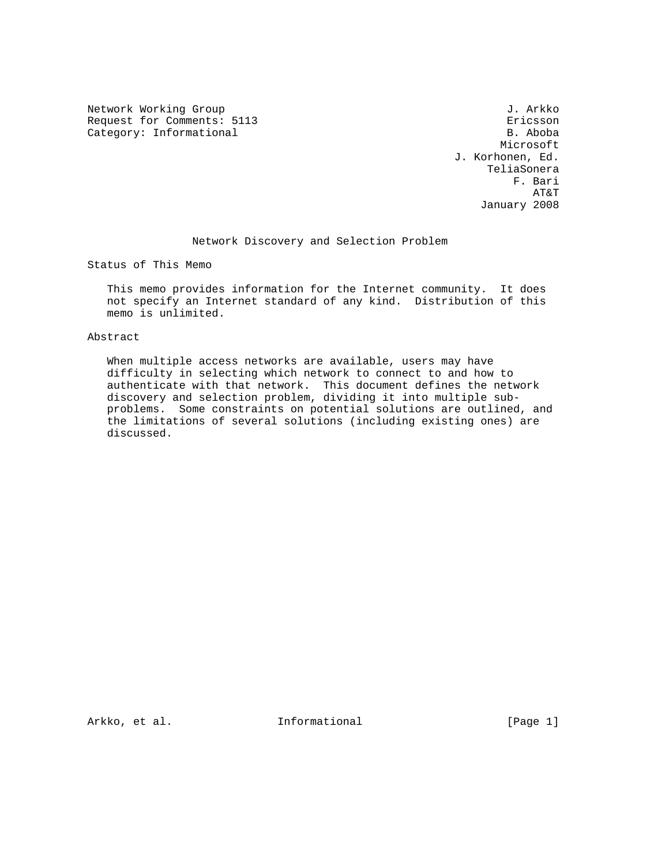Network Working Group 3. Arkko J. Arkko Request for Comments: 5113 Ericsson<br>Category: Informational example of the contraction of the B. Aboba Category: Informational

 Microsoft J. Korhonen, Ed. TeliaSonera F. Bari AT&T January 2008

#### Network Discovery and Selection Problem

Status of This Memo

 This memo provides information for the Internet community. It does not specify an Internet standard of any kind. Distribution of this memo is unlimited.

#### Abstract

 When multiple access networks are available, users may have difficulty in selecting which network to connect to and how to authenticate with that network. This document defines the network discovery and selection problem, dividing it into multiple sub problems. Some constraints on potential solutions are outlined, and the limitations of several solutions (including existing ones) are discussed.

Arkko, et al. 10. Informational 1. [Page 1]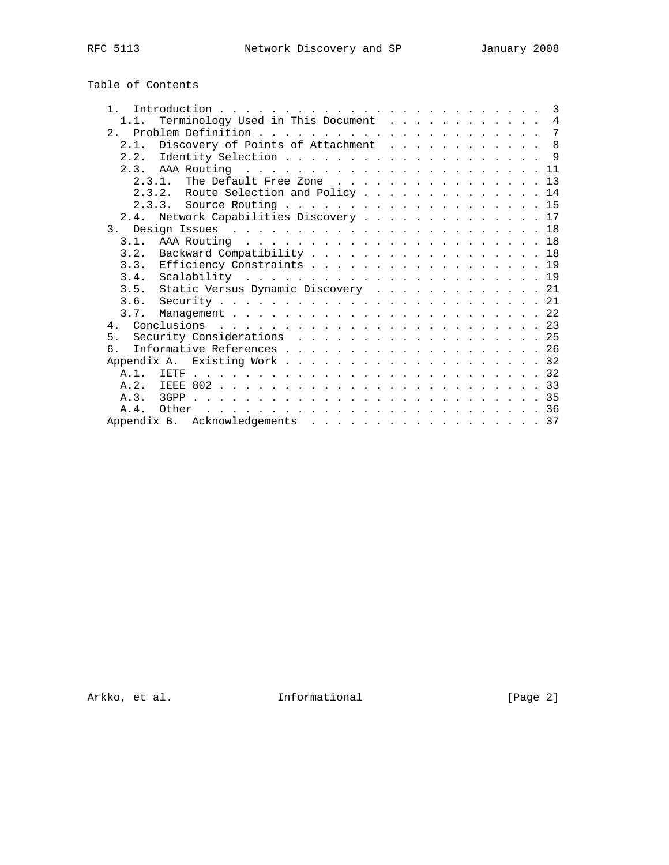| Table of Contents |  |
|-------------------|--|
|-------------------|--|

| 1.1.       | Terminology Used in This Document 4        |
|------------|--------------------------------------------|
|            |                                            |
| 2.1.       | Discovery of Points of Attachment 8        |
|            |                                            |
|            |                                            |
|            | 2.3.1. The Default Free Zone $\ldots$ , 13 |
|            | 2.3.2. Route Selection and Policy 14       |
|            |                                            |
|            | 2.4. Network Capabilities Discovery 17     |
|            |                                            |
|            |                                            |
|            | 3.2. Backward Compatibility 18             |
| 3.3.       | Efficiency Constraints 19                  |
| 3.4.       |                                            |
| 3.5.       | Static Versus Dynamic Discovery 21         |
|            |                                            |
|            |                                            |
|            | 4. Conclusions                             |
|            | 5. Security Considerations 25              |
| რ.         |                                            |
|            |                                            |
| <b>A</b> 1 |                                            |
| A.2.       |                                            |
|            |                                            |
| $\Delta$ 4 |                                            |
|            |                                            |
|            | Appendix B. Acknowledgements 37            |

Arkko, et al. 1nformational 1999 [Page 2]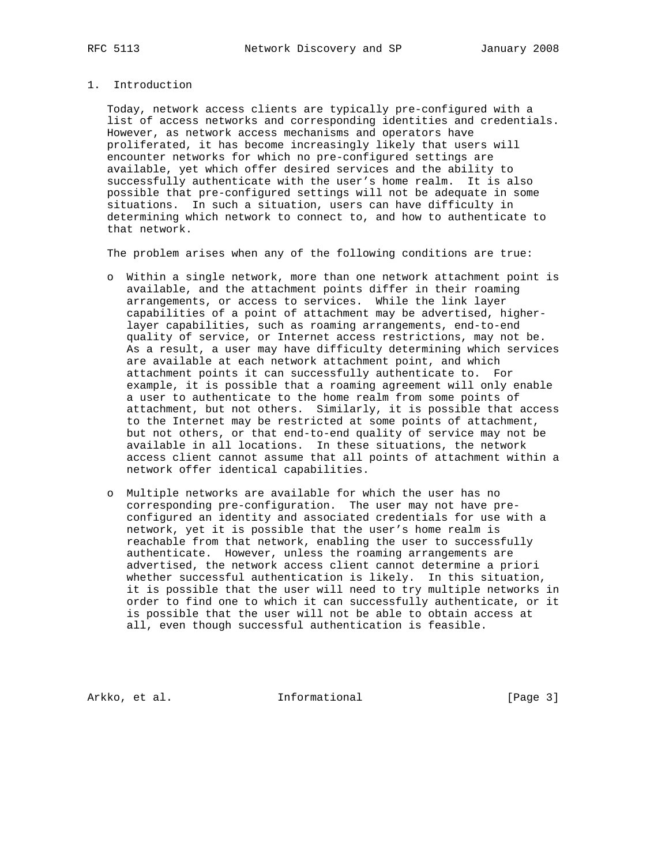#### 1. Introduction

 Today, network access clients are typically pre-configured with a list of access networks and corresponding identities and credentials. However, as network access mechanisms and operators have proliferated, it has become increasingly likely that users will encounter networks for which no pre-configured settings are available, yet which offer desired services and the ability to successfully authenticate with the user's home realm. It is also possible that pre-configured settings will not be adequate in some situations. In such a situation, users can have difficulty in determining which network to connect to, and how to authenticate to that network.

The problem arises when any of the following conditions are true:

- o Within a single network, more than one network attachment point is available, and the attachment points differ in their roaming arrangements, or access to services. While the link layer capabilities of a point of attachment may be advertised, higher layer capabilities, such as roaming arrangements, end-to-end quality of service, or Internet access restrictions, may not be. As a result, a user may have difficulty determining which services are available at each network attachment point, and which attachment points it can successfully authenticate to. For example, it is possible that a roaming agreement will only enable a user to authenticate to the home realm from some points of attachment, but not others. Similarly, it is possible that access to the Internet may be restricted at some points of attachment, but not others, or that end-to-end quality of service may not be available in all locations. In these situations, the network access client cannot assume that all points of attachment within a network offer identical capabilities.
- o Multiple networks are available for which the user has no corresponding pre-configuration. The user may not have pre configured an identity and associated credentials for use with a network, yet it is possible that the user's home realm is reachable from that network, enabling the user to successfully authenticate. However, unless the roaming arrangements are advertised, the network access client cannot determine a priori whether successful authentication is likely. In this situation, it is possible that the user will need to try multiple networks in order to find one to which it can successfully authenticate, or it is possible that the user will not be able to obtain access at all, even though successful authentication is feasible.

Arkko, et al. 1nformational 1999 [Page 3]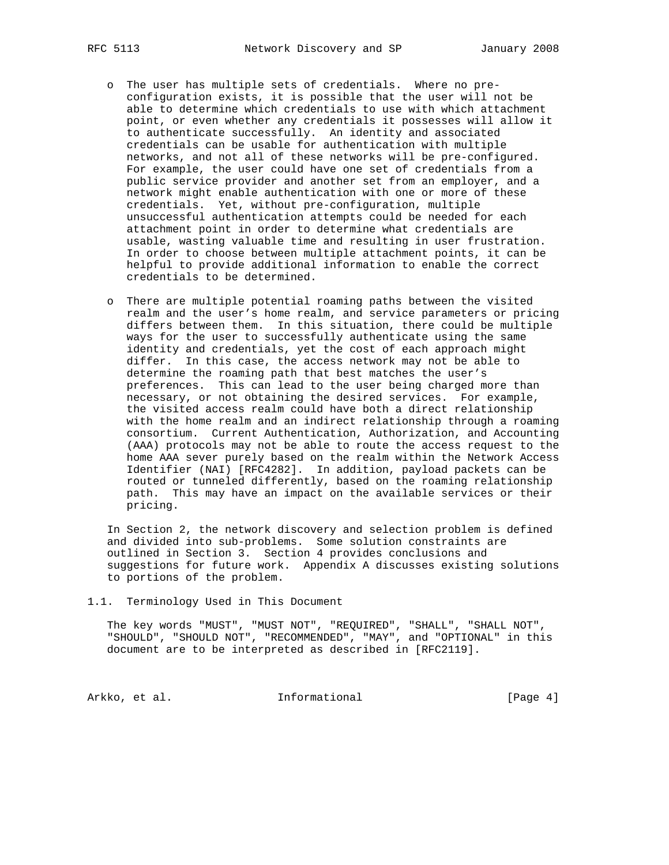- o The user has multiple sets of credentials. Where no pre configuration exists, it is possible that the user will not be able to determine which credentials to use with which attachment point, or even whether any credentials it possesses will allow it to authenticate successfully. An identity and associated credentials can be usable for authentication with multiple networks, and not all of these networks will be pre-configured. For example, the user could have one set of credentials from a public service provider and another set from an employer, and a network might enable authentication with one or more of these credentials. Yet, without pre-configuration, multiple unsuccessful authentication attempts could be needed for each attachment point in order to determine what credentials are usable, wasting valuable time and resulting in user frustration. In order to choose between multiple attachment points, it can be helpful to provide additional information to enable the correct credentials to be determined.
- o There are multiple potential roaming paths between the visited realm and the user's home realm, and service parameters or pricing differs between them. In this situation, there could be multiple ways for the user to successfully authenticate using the same identity and credentials, yet the cost of each approach might differ. In this case, the access network may not be able to determine the roaming path that best matches the user's preferences. This can lead to the user being charged more than necessary, or not obtaining the desired services. For example, the visited access realm could have both a direct relationship with the home realm and an indirect relationship through a roaming consortium. Current Authentication, Authorization, and Accounting (AAA) protocols may not be able to route the access request to the home AAA sever purely based on the realm within the Network Access Identifier (NAI) [RFC4282]. In addition, payload packets can be routed or tunneled differently, based on the roaming relationship path. This may have an impact on the available services or their pricing.

 In Section 2, the network discovery and selection problem is defined and divided into sub-problems. Some solution constraints are outlined in Section 3. Section 4 provides conclusions and suggestions for future work. Appendix A discusses existing solutions to portions of the problem.

1.1. Terminology Used in This Document

 The key words "MUST", "MUST NOT", "REQUIRED", "SHALL", "SHALL NOT", "SHOULD", "SHOULD NOT", "RECOMMENDED", "MAY", and "OPTIONAL" in this document are to be interpreted as described in [RFC2119].

Arkko, et al. 1nformational 1998 [Page 4]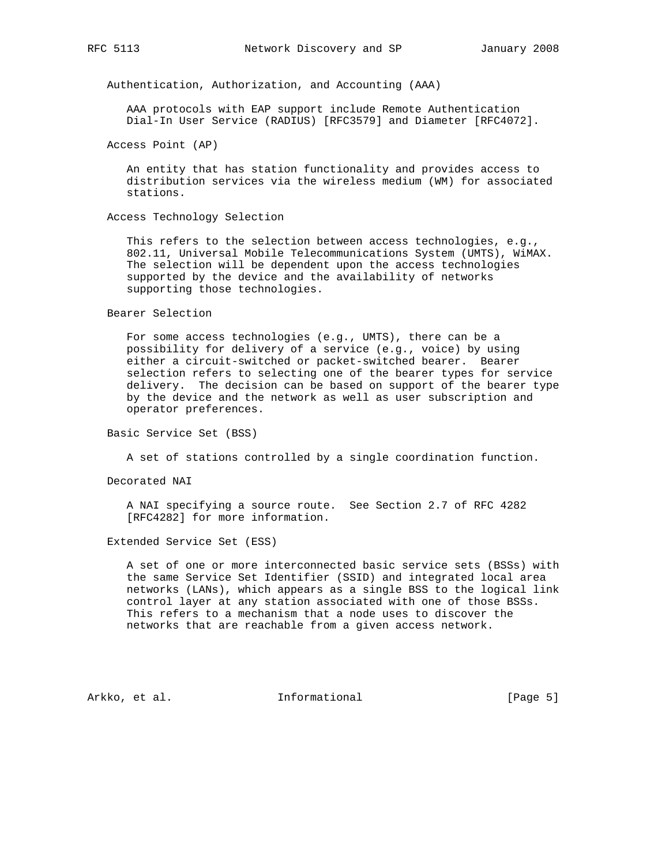Authentication, Authorization, and Accounting (AAA)

 AAA protocols with EAP support include Remote Authentication Dial-In User Service (RADIUS) [RFC3579] and Diameter [RFC4072].

Access Point (AP)

 An entity that has station functionality and provides access to distribution services via the wireless medium (WM) for associated stations.

Access Technology Selection

 This refers to the selection between access technologies, e.g., 802.11, Universal Mobile Telecommunications System (UMTS), WiMAX. The selection will be dependent upon the access technologies supported by the device and the availability of networks supporting those technologies.

Bearer Selection

 For some access technologies (e.g., UMTS), there can be a possibility for delivery of a service (e.g., voice) by using either a circuit-switched or packet-switched bearer. Bearer selection refers to selecting one of the bearer types for service delivery. The decision can be based on support of the bearer type by the device and the network as well as user subscription and operator preferences.

Basic Service Set (BSS)

A set of stations controlled by a single coordination function.

Decorated NAI

 A NAI specifying a source route. See Section 2.7 of RFC 4282 [RFC4282] for more information.

Extended Service Set (ESS)

 A set of one or more interconnected basic service sets (BSSs) with the same Service Set Identifier (SSID) and integrated local area networks (LANs), which appears as a single BSS to the logical link control layer at any station associated with one of those BSSs. This refers to a mechanism that a node uses to discover the networks that are reachable from a given access network.

Arkko, et al. 1nformational 1999 [Page 5]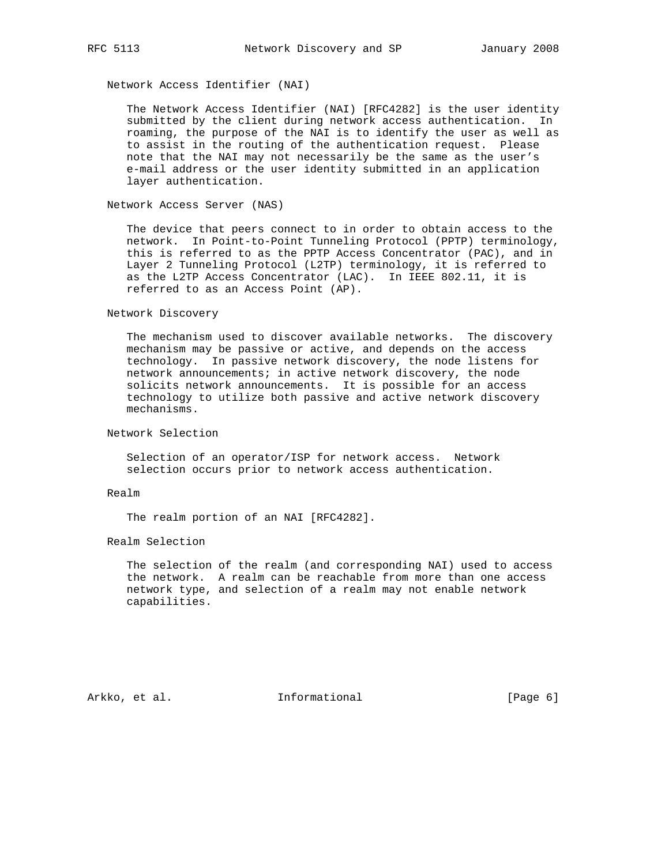Network Access Identifier (NAI)

 The Network Access Identifier (NAI) [RFC4282] is the user identity submitted by the client during network access authentication. In roaming, the purpose of the NAI is to identify the user as well as to assist in the routing of the authentication request. Please note that the NAI may not necessarily be the same as the user's e-mail address or the user identity submitted in an application layer authentication.

Network Access Server (NAS)

 The device that peers connect to in order to obtain access to the network. In Point-to-Point Tunneling Protocol (PPTP) terminology, this is referred to as the PPTP Access Concentrator (PAC), and in Layer 2 Tunneling Protocol (L2TP) terminology, it is referred to as the L2TP Access Concentrator (LAC). In IEEE 802.11, it is referred to as an Access Point (AP).

Network Discovery

 The mechanism used to discover available networks. The discovery mechanism may be passive or active, and depends on the access technology. In passive network discovery, the node listens for network announcements; in active network discovery, the node solicits network announcements. It is possible for an access technology to utilize both passive and active network discovery mechanisms.

Network Selection

 Selection of an operator/ISP for network access. Network selection occurs prior to network access authentication.

Realm

The realm portion of an NAI [RFC4282].

Realm Selection

 The selection of the realm (and corresponding NAI) used to access the network. A realm can be reachable from more than one access network type, and selection of a realm may not enable network capabilities.

Arkko, et al. **Informational** [Page 6]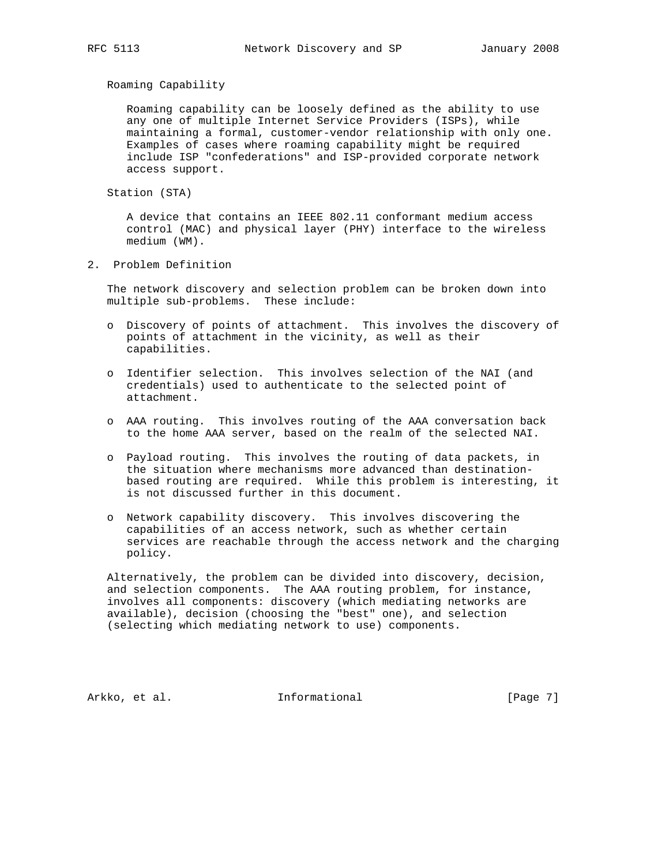Roaming Capability

 Roaming capability can be loosely defined as the ability to use any one of multiple Internet Service Providers (ISPs), while maintaining a formal, customer-vendor relationship with only one. Examples of cases where roaming capability might be required include ISP "confederations" and ISP-provided corporate network access support.

Station (STA)

 A device that contains an IEEE 802.11 conformant medium access control (MAC) and physical layer (PHY) interface to the wireless medium (WM).

2. Problem Definition

 The network discovery and selection problem can be broken down into multiple sub-problems. These include:

- o Discovery of points of attachment. This involves the discovery of points of attachment in the vicinity, as well as their capabilities.
- o Identifier selection. This involves selection of the NAI (and credentials) used to authenticate to the selected point of attachment.
- o AAA routing. This involves routing of the AAA conversation back to the home AAA server, based on the realm of the selected NAI.
- o Payload routing. This involves the routing of data packets, in the situation where mechanisms more advanced than destination based routing are required. While this problem is interesting, it is not discussed further in this document.
- o Network capability discovery. This involves discovering the capabilities of an access network, such as whether certain services are reachable through the access network and the charging policy.

 Alternatively, the problem can be divided into discovery, decision, and selection components. The AAA routing problem, for instance, involves all components: discovery (which mediating networks are available), decision (choosing the "best" one), and selection (selecting which mediating network to use) components.

Arkko, et al. 1nformational 1998 [Page 7]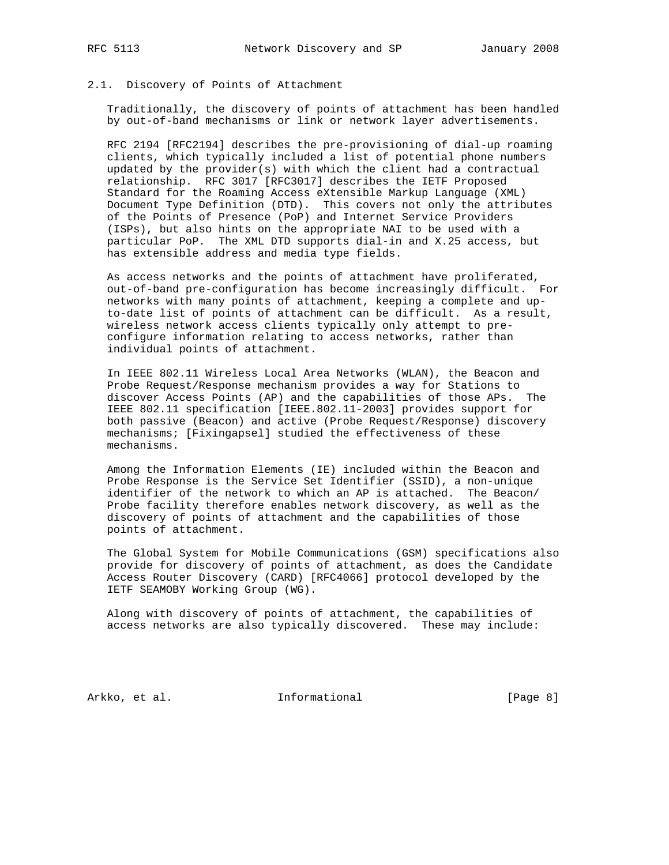#### 2.1. Discovery of Points of Attachment

 Traditionally, the discovery of points of attachment has been handled by out-of-band mechanisms or link or network layer advertisements.

 RFC 2194 [RFC2194] describes the pre-provisioning of dial-up roaming clients, which typically included a list of potential phone numbers updated by the provider(s) with which the client had a contractual relationship. RFC 3017 [RFC3017] describes the IETF Proposed Standard for the Roaming Access eXtensible Markup Language (XML) Document Type Definition (DTD). This covers not only the attributes of the Points of Presence (PoP) and Internet Service Providers (ISPs), but also hints on the appropriate NAI to be used with a particular PoP. The XML DTD supports dial-in and X.25 access, but has extensible address and media type fields.

 As access networks and the points of attachment have proliferated, out-of-band pre-configuration has become increasingly difficult. For networks with many points of attachment, keeping a complete and up to-date list of points of attachment can be difficult. As a result, wireless network access clients typically only attempt to pre configure information relating to access networks, rather than individual points of attachment.

 In IEEE 802.11 Wireless Local Area Networks (WLAN), the Beacon and Probe Request/Response mechanism provides a way for Stations to discover Access Points (AP) and the capabilities of those APs. The IEEE 802.11 specification [IEEE.802.11-2003] provides support for both passive (Beacon) and active (Probe Request/Response) discovery mechanisms; [Fixingapsel] studied the effectiveness of these mechanisms.

 Among the Information Elements (IE) included within the Beacon and Probe Response is the Service Set Identifier (SSID), a non-unique identifier of the network to which an AP is attached. The Beacon/ Probe facility therefore enables network discovery, as well as the discovery of points of attachment and the capabilities of those points of attachment.

 The Global System for Mobile Communications (GSM) specifications also provide for discovery of points of attachment, as does the Candidate Access Router Discovery (CARD) [RFC4066] protocol developed by the IETF SEAMOBY Working Group (WG).

 Along with discovery of points of attachment, the capabilities of access networks are also typically discovered. These may include:

Arkko, et al. 1nformational 1998 [Page 8]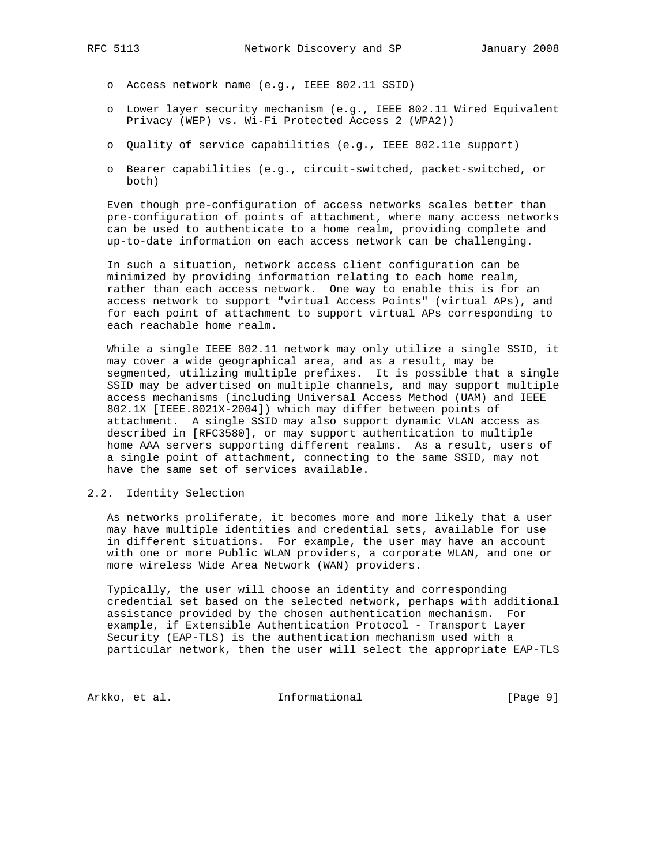- o Access network name (e.g., IEEE 802.11 SSID)
- o Lower layer security mechanism (e.g., IEEE 802.11 Wired Equivalent Privacy (WEP) vs. Wi-Fi Protected Access 2 (WPA2))
- o Quality of service capabilities (e.g., IEEE 802.11e support)
- o Bearer capabilities (e.g., circuit-switched, packet-switched, or both)

 Even though pre-configuration of access networks scales better than pre-configuration of points of attachment, where many access networks can be used to authenticate to a home realm, providing complete and up-to-date information on each access network can be challenging.

 In such a situation, network access client configuration can be minimized by providing information relating to each home realm, rather than each access network. One way to enable this is for an access network to support "virtual Access Points" (virtual APs), and for each point of attachment to support virtual APs corresponding to each reachable home realm.

 While a single IEEE 802.11 network may only utilize a single SSID, it may cover a wide geographical area, and as a result, may be segmented, utilizing multiple prefixes. It is possible that a single SSID may be advertised on multiple channels, and may support multiple access mechanisms (including Universal Access Method (UAM) and IEEE 802.1X [IEEE.8021X-2004]) which may differ between points of attachment. A single SSID may also support dynamic VLAN access as described in [RFC3580], or may support authentication to multiple home AAA servers supporting different realms. As a result, users of a single point of attachment, connecting to the same SSID, may not have the same set of services available.

#### 2.2. Identity Selection

 As networks proliferate, it becomes more and more likely that a user may have multiple identities and credential sets, available for use in different situations. For example, the user may have an account with one or more Public WLAN providers, a corporate WLAN, and one or more wireless Wide Area Network (WAN) providers.

 Typically, the user will choose an identity and corresponding credential set based on the selected network, perhaps with additional assistance provided by the chosen authentication mechanism. For example, if Extensible Authentication Protocol - Transport Layer Security (EAP-TLS) is the authentication mechanism used with a particular network, then the user will select the appropriate EAP-TLS

Arkko, et al. 1nformational 1999 [Page 9]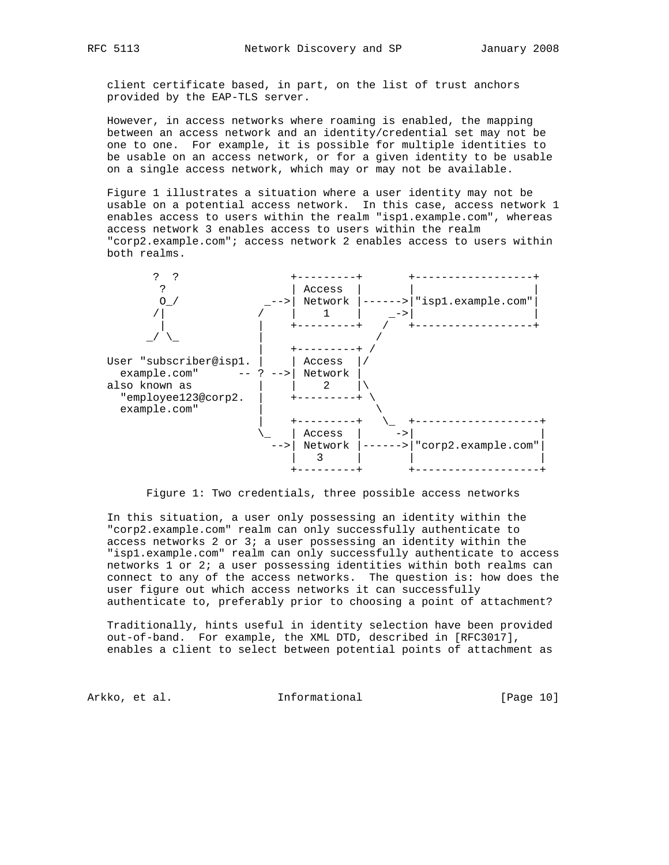client certificate based, in part, on the list of trust anchors provided by the EAP-TLS server.

 However, in access networks where roaming is enabled, the mapping between an access network and an identity/credential set may not be one to one. For example, it is possible for multiple identities to be usable on an access network, or for a given identity to be usable on a single access network, which may or may not be available.

 Figure 1 illustrates a situation where a user identity may not be usable on a potential access network. In this case, access network 1 enables access to users within the realm "isp1.example.com", whereas access network 3 enables access to users within the realm "corp2.example.com"; access network 2 enables access to users within both realms.





 In this situation, a user only possessing an identity within the "corp2.example.com" realm can only successfully authenticate to access networks 2 or 3; a user possessing an identity within the "isp1.example.com" realm can only successfully authenticate to access networks 1 or 2; a user possessing identities within both realms can connect to any of the access networks. The question is: how does the user figure out which access networks it can successfully authenticate to, preferably prior to choosing a point of attachment?

 Traditionally, hints useful in identity selection have been provided out-of-band. For example, the XML DTD, described in [RFC3017], enables a client to select between potential points of attachment as

Arkko, et al. 1nformational [Page 10]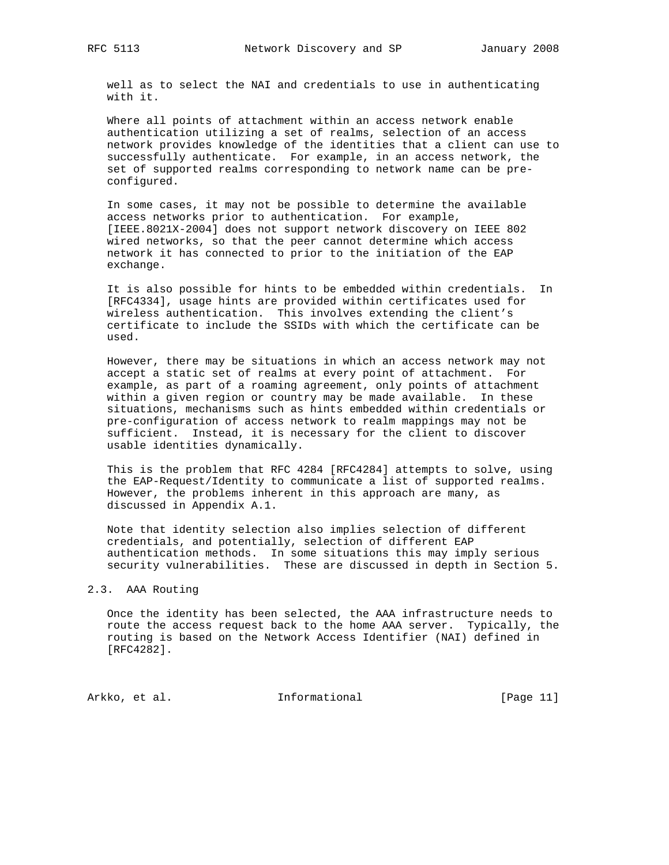well as to select the NAI and credentials to use in authenticating with it.

 Where all points of attachment within an access network enable authentication utilizing a set of realms, selection of an access network provides knowledge of the identities that a client can use to successfully authenticate. For example, in an access network, the set of supported realms corresponding to network name can be pre configured.

 In some cases, it may not be possible to determine the available access networks prior to authentication. For example, [IEEE.8021X-2004] does not support network discovery on IEEE 802 wired networks, so that the peer cannot determine which access network it has connected to prior to the initiation of the EAP exchange.

 It is also possible for hints to be embedded within credentials. In [RFC4334], usage hints are provided within certificates used for wireless authentication. This involves extending the client's certificate to include the SSIDs with which the certificate can be used.

 However, there may be situations in which an access network may not accept a static set of realms at every point of attachment. For example, as part of a roaming agreement, only points of attachment within a given region or country may be made available. In these situations, mechanisms such as hints embedded within credentials or pre-configuration of access network to realm mappings may not be sufficient. Instead, it is necessary for the client to discover usable identities dynamically.

 This is the problem that RFC 4284 [RFC4284] attempts to solve, using the EAP-Request/Identity to communicate a list of supported realms. However, the problems inherent in this approach are many, as discussed in Appendix A.1.

 Note that identity selection also implies selection of different credentials, and potentially, selection of different EAP authentication methods. In some situations this may imply serious security vulnerabilities. These are discussed in depth in Section 5.

#### 2.3. AAA Routing

 Once the identity has been selected, the AAA infrastructure needs to route the access request back to the home AAA server. Typically, the routing is based on the Network Access Identifier (NAI) defined in [RFC4282].

Arkko, et al. 10. Informational 1. [Page 11]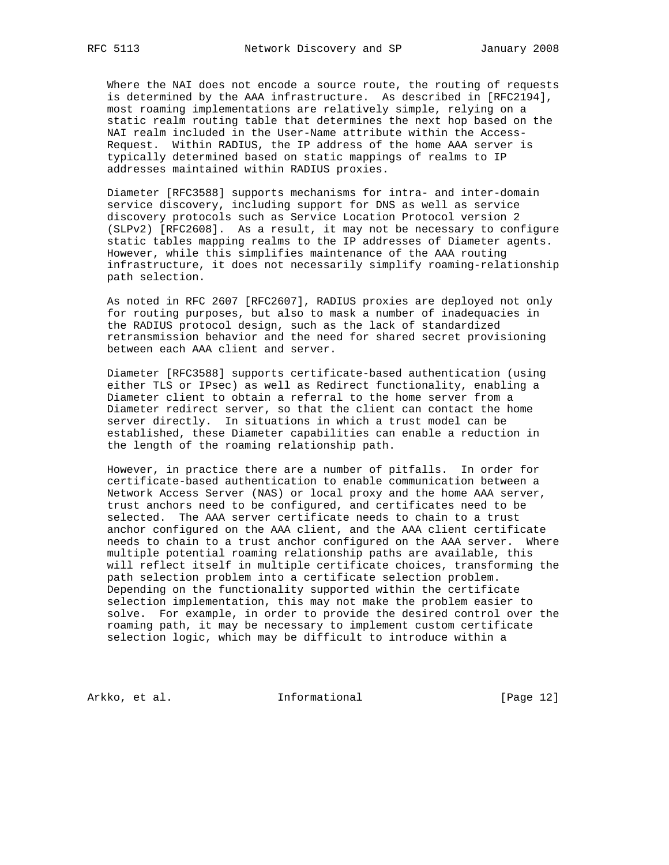Where the NAI does not encode a source route, the routing of requests is determined by the AAA infrastructure. As described in [RFC2194], most roaming implementations are relatively simple, relying on a static realm routing table that determines the next hop based on the NAI realm included in the User-Name attribute within the Access- Request. Within RADIUS, the IP address of the home AAA server is typically determined based on static mappings of realms to IP addresses maintained within RADIUS proxies.

 Diameter [RFC3588] supports mechanisms for intra- and inter-domain service discovery, including support for DNS as well as service discovery protocols such as Service Location Protocol version 2 (SLPv2) [RFC2608]. As a result, it may not be necessary to configure static tables mapping realms to the IP addresses of Diameter agents. However, while this simplifies maintenance of the AAA routing infrastructure, it does not necessarily simplify roaming-relationship path selection.

 As noted in RFC 2607 [RFC2607], RADIUS proxies are deployed not only for routing purposes, but also to mask a number of inadequacies in the RADIUS protocol design, such as the lack of standardized retransmission behavior and the need for shared secret provisioning between each AAA client and server.

 Diameter [RFC3588] supports certificate-based authentication (using either TLS or IPsec) as well as Redirect functionality, enabling a Diameter client to obtain a referral to the home server from a Diameter redirect server, so that the client can contact the home server directly. In situations in which a trust model can be established, these Diameter capabilities can enable a reduction in the length of the roaming relationship path.

 However, in practice there are a number of pitfalls. In order for certificate-based authentication to enable communication between a Network Access Server (NAS) or local proxy and the home AAA server, trust anchors need to be configured, and certificates need to be selected. The AAA server certificate needs to chain to a trust anchor configured on the AAA client, and the AAA client certificate needs to chain to a trust anchor configured on the AAA server. Where multiple potential roaming relationship paths are available, this will reflect itself in multiple certificate choices, transforming the path selection problem into a certificate selection problem. Depending on the functionality supported within the certificate selection implementation, this may not make the problem easier to solve. For example, in order to provide the desired control over the roaming path, it may be necessary to implement custom certificate selection logic, which may be difficult to introduce within a

Arkko, et al. 1nformational [Page 12]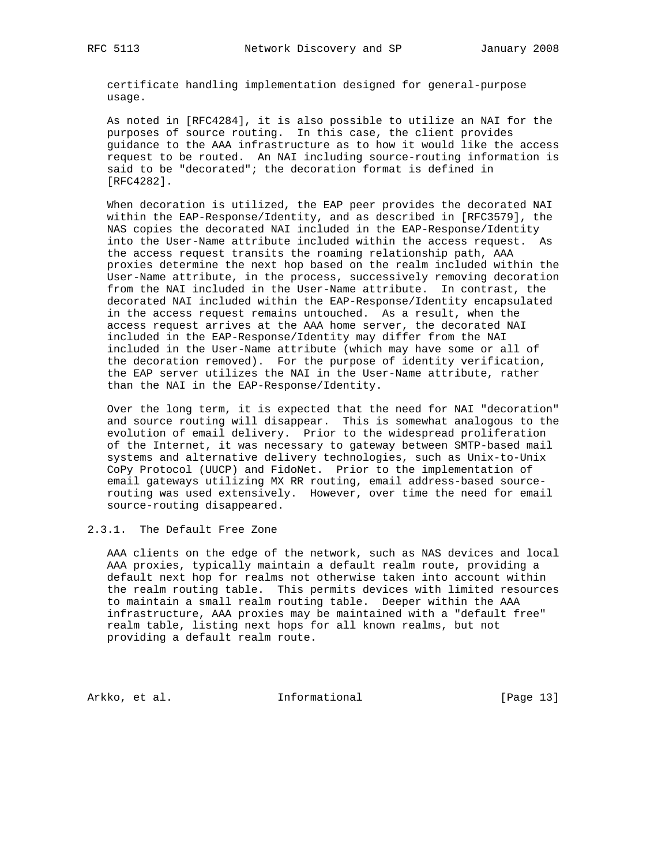certificate handling implementation designed for general-purpose usage.

 As noted in [RFC4284], it is also possible to utilize an NAI for the purposes of source routing. In this case, the client provides guidance to the AAA infrastructure as to how it would like the access request to be routed. An NAI including source-routing information is said to be "decorated"; the decoration format is defined in [RFC4282].

 When decoration is utilized, the EAP peer provides the decorated NAI within the EAP-Response/Identity, and as described in [RFC3579], the NAS copies the decorated NAI included in the EAP-Response/Identity into the User-Name attribute included within the access request. As the access request transits the roaming relationship path, AAA proxies determine the next hop based on the realm included within the User-Name attribute, in the process, successively removing decoration from the NAI included in the User-Name attribute. In contrast, the decorated NAI included within the EAP-Response/Identity encapsulated in the access request remains untouched. As a result, when the access request arrives at the AAA home server, the decorated NAI included in the EAP-Response/Identity may differ from the NAI included in the User-Name attribute (which may have some or all of the decoration removed). For the purpose of identity verification, the EAP server utilizes the NAI in the User-Name attribute, rather than the NAI in the EAP-Response/Identity.

 Over the long term, it is expected that the need for NAI "decoration" and source routing will disappear. This is somewhat analogous to the evolution of email delivery. Prior to the widespread proliferation of the Internet, it was necessary to gateway between SMTP-based mail systems and alternative delivery technologies, such as Unix-to-Unix CoPy Protocol (UUCP) and FidoNet. Prior to the implementation of email gateways utilizing MX RR routing, email address-based source routing was used extensively. However, over time the need for email source-routing disappeared.

### 2.3.1. The Default Free Zone

 AAA clients on the edge of the network, such as NAS devices and local AAA proxies, typically maintain a default realm route, providing a default next hop for realms not otherwise taken into account within the realm routing table. This permits devices with limited resources to maintain a small realm routing table. Deeper within the AAA infrastructure, AAA proxies may be maintained with a "default free" realm table, listing next hops for all known realms, but not providing a default realm route.

Arkko, et al. 1nformational [Page 13]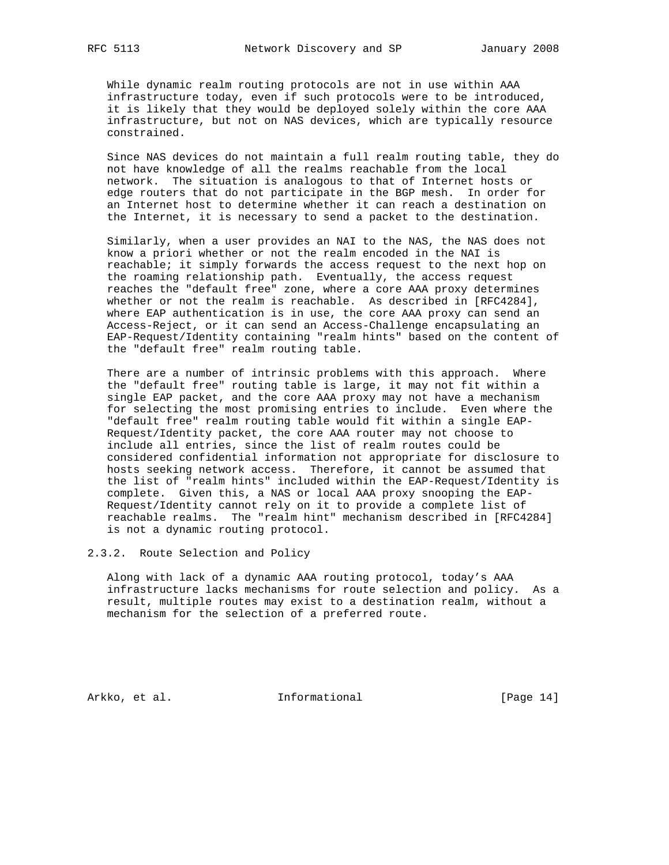While dynamic realm routing protocols are not in use within AAA infrastructure today, even if such protocols were to be introduced, it is likely that they would be deployed solely within the core AAA infrastructure, but not on NAS devices, which are typically resource constrained.

 Since NAS devices do not maintain a full realm routing table, they do not have knowledge of all the realms reachable from the local network. The situation is analogous to that of Internet hosts or edge routers that do not participate in the BGP mesh. In order for an Internet host to determine whether it can reach a destination on the Internet, it is necessary to send a packet to the destination.

 Similarly, when a user provides an NAI to the NAS, the NAS does not know a priori whether or not the realm encoded in the NAI is reachable; it simply forwards the access request to the next hop on the roaming relationship path. Eventually, the access request reaches the "default free" zone, where a core AAA proxy determines whether or not the realm is reachable. As described in [RFC4284], where EAP authentication is in use, the core AAA proxy can send an Access-Reject, or it can send an Access-Challenge encapsulating an EAP-Request/Identity containing "realm hints" based on the content of the "default free" realm routing table.

 There are a number of intrinsic problems with this approach. Where the "default free" routing table is large, it may not fit within a single EAP packet, and the core AAA proxy may not have a mechanism for selecting the most promising entries to include. Even where the "default free" realm routing table would fit within a single EAP- Request/Identity packet, the core AAA router may not choose to include all entries, since the list of realm routes could be considered confidential information not appropriate for disclosure to hosts seeking network access. Therefore, it cannot be assumed that the list of "realm hints" included within the EAP-Request/Identity is complete. Given this, a NAS or local AAA proxy snooping the EAP- Request/Identity cannot rely on it to provide a complete list of reachable realms. The "realm hint" mechanism described in [RFC4284] is not a dynamic routing protocol.

2.3.2. Route Selection and Policy

 Along with lack of a dynamic AAA routing protocol, today's AAA infrastructure lacks mechanisms for route selection and policy. As a result, multiple routes may exist to a destination realm, without a mechanism for the selection of a preferred route.

Arkko, et al. 10 Informational [Page 14]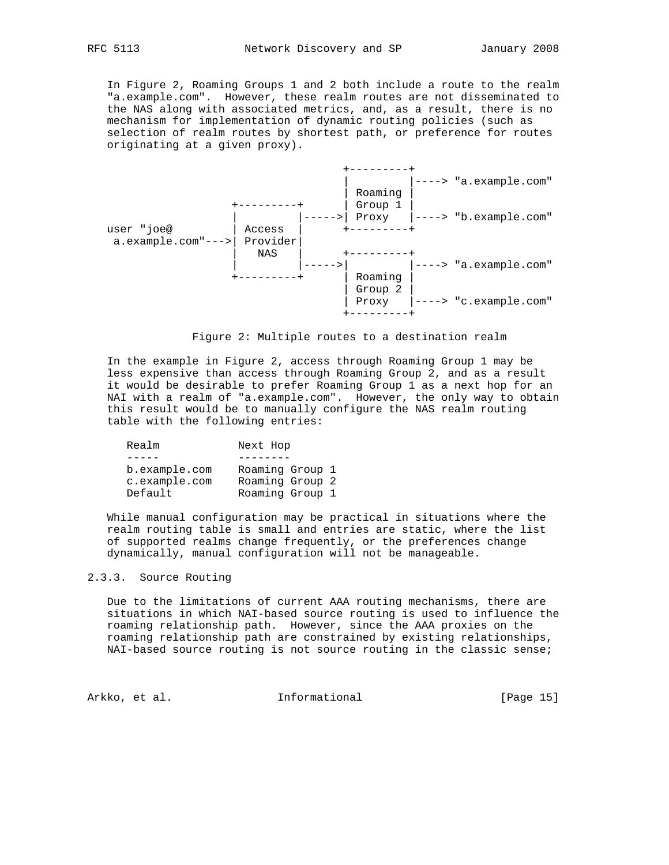In Figure 2, Roaming Groups 1 and 2 both include a route to the realm "a.example.com". However, these realm routes are not disseminated to the NAS along with associated metrics, and, as a result, there is no mechanism for implementation of dynamic routing policies (such as selection of realm routes by shortest path, or preference for routes originating at a given proxy).





 In the example in Figure 2, access through Roaming Group 1 may be less expensive than access through Roaming Group 2, and as a result it would be desirable to prefer Roaming Group 1 as a next hop for an NAI with a realm of "a.example.com". However, the only way to obtain this result would be to manually configure the NAS realm routing table with the following entries:

| Realm         | Next Hop        |
|---------------|-----------------|
|               |                 |
| b.example.com | Roaming Group 1 |
| c.example.com | Roaming Group 2 |
| Default       | Roaming Group 1 |

 While manual configuration may be practical in situations where the realm routing table is small and entries are static, where the list of supported realms change frequently, or the preferences change dynamically, manual configuration will not be manageable.

#### 2.3.3. Source Routing

 Due to the limitations of current AAA routing mechanisms, there are situations in which NAI-based source routing is used to influence the roaming relationship path. However, since the AAA proxies on the roaming relationship path are constrained by existing relationships, NAI-based source routing is not source routing in the classic sense;

Arkko, et al. 1nformational [Page 15]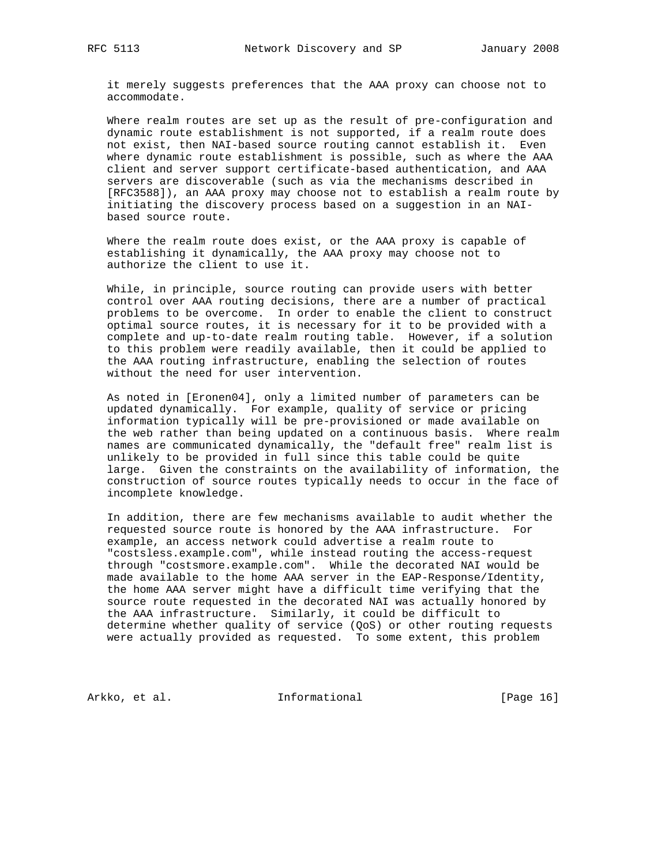it merely suggests preferences that the AAA proxy can choose not to accommodate.

 Where realm routes are set up as the result of pre-configuration and dynamic route establishment is not supported, if a realm route does not exist, then NAI-based source routing cannot establish it. Even where dynamic route establishment is possible, such as where the AAA client and server support certificate-based authentication, and AAA servers are discoverable (such as via the mechanisms described in [RFC3588]), an AAA proxy may choose not to establish a realm route by initiating the discovery process based on a suggestion in an NAI based source route.

 Where the realm route does exist, or the AAA proxy is capable of establishing it dynamically, the AAA proxy may choose not to authorize the client to use it.

 While, in principle, source routing can provide users with better control over AAA routing decisions, there are a number of practical problems to be overcome. In order to enable the client to construct optimal source routes, it is necessary for it to be provided with a complete and up-to-date realm routing table. However, if a solution to this problem were readily available, then it could be applied to the AAA routing infrastructure, enabling the selection of routes without the need for user intervention.

 As noted in [Eronen04], only a limited number of parameters can be updated dynamically. For example, quality of service or pricing information typically will be pre-provisioned or made available on the web rather than being updated on a continuous basis. Where realm names are communicated dynamically, the "default free" realm list is unlikely to be provided in full since this table could be quite large. Given the constraints on the availability of information, the construction of source routes typically needs to occur in the face of incomplete knowledge.

 In addition, there are few mechanisms available to audit whether the requested source route is honored by the AAA infrastructure. For example, an access network could advertise a realm route to "costsless.example.com", while instead routing the access-request through "costsmore.example.com". While the decorated NAI would be made available to the home AAA server in the EAP-Response/Identity, the home AAA server might have a difficult time verifying that the source route requested in the decorated NAI was actually honored by the AAA infrastructure. Similarly, it could be difficult to determine whether quality of service (QoS) or other routing requests were actually provided as requested. To some extent, this problem

Arkko, et al. 100 Informational 100 [Page 16]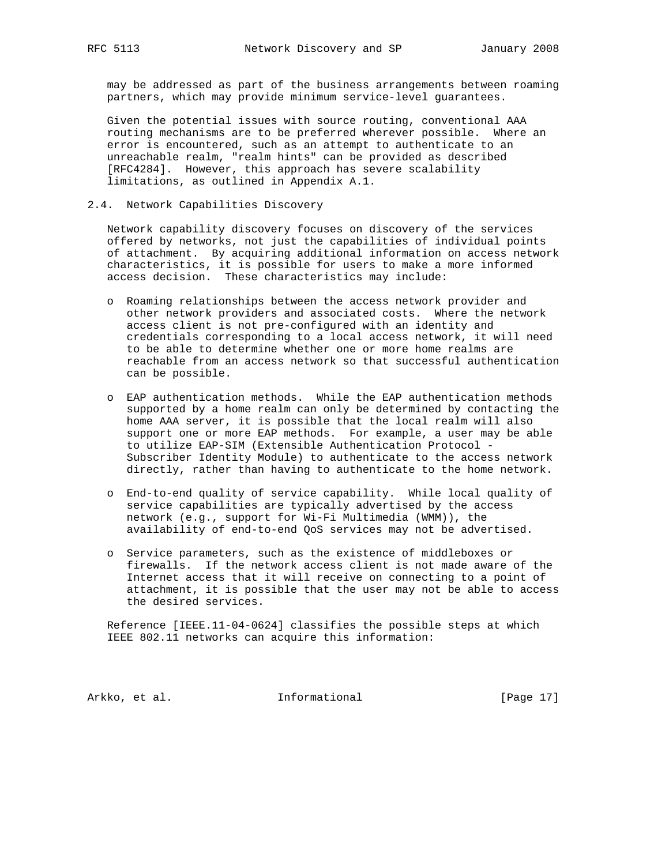may be addressed as part of the business arrangements between roaming partners, which may provide minimum service-level guarantees.

 Given the potential issues with source routing, conventional AAA routing mechanisms are to be preferred wherever possible. Where an error is encountered, such as an attempt to authenticate to an unreachable realm, "realm hints" can be provided as described [RFC4284]. However, this approach has severe scalability limitations, as outlined in Appendix A.1.

#### 2.4. Network Capabilities Discovery

 Network capability discovery focuses on discovery of the services offered by networks, not just the capabilities of individual points of attachment. By acquiring additional information on access network characteristics, it is possible for users to make a more informed access decision. These characteristics may include:

- o Roaming relationships between the access network provider and other network providers and associated costs. Where the network access client is not pre-configured with an identity and credentials corresponding to a local access network, it will need to be able to determine whether one or more home realms are reachable from an access network so that successful authentication can be possible.
- o EAP authentication methods. While the EAP authentication methods supported by a home realm can only be determined by contacting the home AAA server, it is possible that the local realm will also support one or more EAP methods. For example, a user may be able to utilize EAP-SIM (Extensible Authentication Protocol - Subscriber Identity Module) to authenticate to the access network directly, rather than having to authenticate to the home network.
- o End-to-end quality of service capability. While local quality of service capabilities are typically advertised by the access network (e.g., support for Wi-Fi Multimedia (WMM)), the availability of end-to-end QoS services may not be advertised.
- o Service parameters, such as the existence of middleboxes or firewalls. If the network access client is not made aware of the Internet access that it will receive on connecting to a point of attachment, it is possible that the user may not be able to access the desired services.

 Reference [IEEE.11-04-0624] classifies the possible steps at which IEEE 802.11 networks can acquire this information:

Arkko, et al. 10 Informational 1999 [Page 17]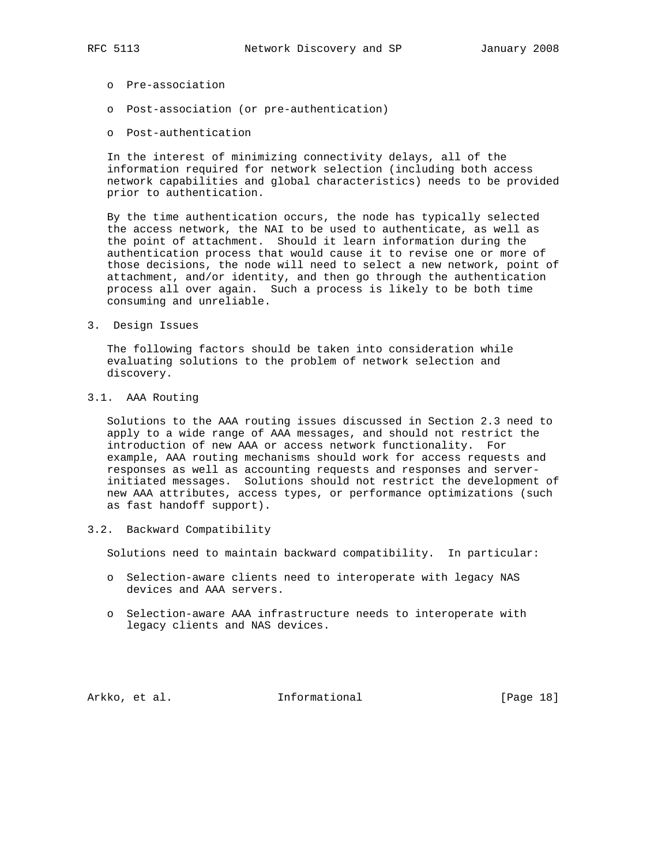- o Pre-association
- o Post-association (or pre-authentication)
- o Post-authentication

 In the interest of minimizing connectivity delays, all of the information required for network selection (including both access network capabilities and global characteristics) needs to be provided prior to authentication.

 By the time authentication occurs, the node has typically selected the access network, the NAI to be used to authenticate, as well as the point of attachment. Should it learn information during the authentication process that would cause it to revise one or more of those decisions, the node will need to select a new network, point of attachment, and/or identity, and then go through the authentication process all over again. Such a process is likely to be both time consuming and unreliable.

3. Design Issues

 The following factors should be taken into consideration while evaluating solutions to the problem of network selection and discovery.

3.1. AAA Routing

 Solutions to the AAA routing issues discussed in Section 2.3 need to apply to a wide range of AAA messages, and should not restrict the introduction of new AAA or access network functionality. For example, AAA routing mechanisms should work for access requests and responses as well as accounting requests and responses and server initiated messages. Solutions should not restrict the development of new AAA attributes, access types, or performance optimizations (such as fast handoff support).

3.2. Backward Compatibility

Solutions need to maintain backward compatibility. In particular:

- o Selection-aware clients need to interoperate with legacy NAS devices and AAA servers.
- o Selection-aware AAA infrastructure needs to interoperate with legacy clients and NAS devices.

Arkko, et al. 1nformational [Page 18]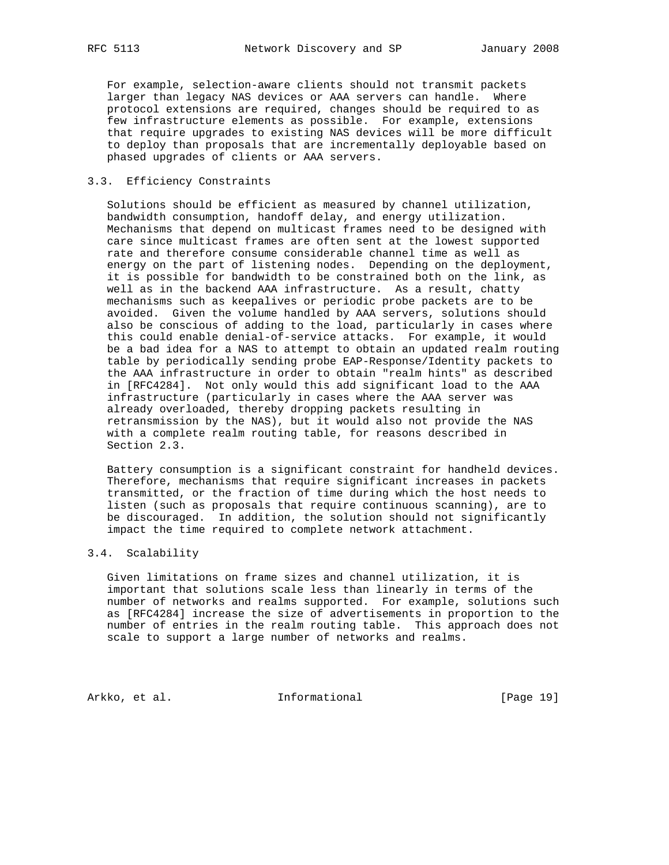For example, selection-aware clients should not transmit packets larger than legacy NAS devices or AAA servers can handle. Where protocol extensions are required, changes should be required to as few infrastructure elements as possible. For example, extensions that require upgrades to existing NAS devices will be more difficult to deploy than proposals that are incrementally deployable based on phased upgrades of clients or AAA servers.

#### 3.3. Efficiency Constraints

 Solutions should be efficient as measured by channel utilization, bandwidth consumption, handoff delay, and energy utilization. Mechanisms that depend on multicast frames need to be designed with care since multicast frames are often sent at the lowest supported rate and therefore consume considerable channel time as well as energy on the part of listening nodes. Depending on the deployment, it is possible for bandwidth to be constrained both on the link, as well as in the backend AAA infrastructure. As a result, chatty mechanisms such as keepalives or periodic probe packets are to be avoided. Given the volume handled by AAA servers, solutions should also be conscious of adding to the load, particularly in cases where this could enable denial-of-service attacks. For example, it would be a bad idea for a NAS to attempt to obtain an updated realm routing table by periodically sending probe EAP-Response/Identity packets to the AAA infrastructure in order to obtain "realm hints" as described in [RFC4284]. Not only would this add significant load to the AAA infrastructure (particularly in cases where the AAA server was already overloaded, thereby dropping packets resulting in retransmission by the NAS), but it would also not provide the NAS with a complete realm routing table, for reasons described in Section 2.3.

 Battery consumption is a significant constraint for handheld devices. Therefore, mechanisms that require significant increases in packets transmitted, or the fraction of time during which the host needs to listen (such as proposals that require continuous scanning), are to be discouraged. In addition, the solution should not significantly impact the time required to complete network attachment.

#### 3.4. Scalability

 Given limitations on frame sizes and channel utilization, it is important that solutions scale less than linearly in terms of the number of networks and realms supported. For example, solutions such as [RFC4284] increase the size of advertisements in proportion to the number of entries in the realm routing table. This approach does not scale to support a large number of networks and realms.

Arkko, et al. 10 Informational [Page 19]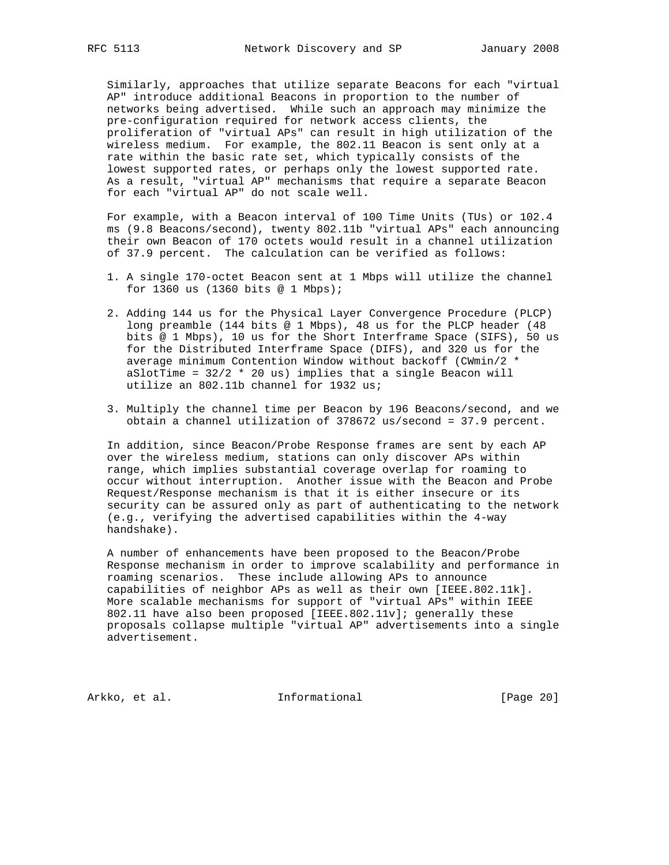Similarly, approaches that utilize separate Beacons for each "virtual AP" introduce additional Beacons in proportion to the number of networks being advertised. While such an approach may minimize the pre-configuration required for network access clients, the proliferation of "virtual APs" can result in high utilization of the wireless medium. For example, the 802.11 Beacon is sent only at a rate within the basic rate set, which typically consists of the lowest supported rates, or perhaps only the lowest supported rate. As a result, "virtual AP" mechanisms that require a separate Beacon for each "virtual AP" do not scale well.

 For example, with a Beacon interval of 100 Time Units (TUs) or 102.4 ms (9.8 Beacons/second), twenty 802.11b "virtual APs" each announcing their own Beacon of 170 octets would result in a channel utilization of 37.9 percent. The calculation can be verified as follows:

- 1. A single 170-octet Beacon sent at 1 Mbps will utilize the channel for 1360 us (1360 bits @ 1 Mbps);
- 2. Adding 144 us for the Physical Layer Convergence Procedure (PLCP) long preamble (144 bits @ 1 Mbps), 48 us for the PLCP header (48 bits @ 1 Mbps), 10 us for the Short Interframe Space (SIFS), 50 us for the Distributed Interframe Space (DIFS), and 320 us for the average minimum Contention Window without backoff (CWmin/2 \* aSlotTime =  $32/2$  \* 20 us) implies that a single Beacon will utilize an 802.11b channel for 1932 us;
- 3. Multiply the channel time per Beacon by 196 Beacons/second, and we obtain a channel utilization of 378672 us/second = 37.9 percent.

 In addition, since Beacon/Probe Response frames are sent by each AP over the wireless medium, stations can only discover APs within range, which implies substantial coverage overlap for roaming to occur without interruption. Another issue with the Beacon and Probe Request/Response mechanism is that it is either insecure or its security can be assured only as part of authenticating to the network (e.g., verifying the advertised capabilities within the 4-way handshake).

 A number of enhancements have been proposed to the Beacon/Probe Response mechanism in order to improve scalability and performance in roaming scenarios. These include allowing APs to announce capabilities of neighbor APs as well as their own [IEEE.802.11k]. More scalable mechanisms for support of "virtual APs" within IEEE 802.11 have also been proposed [IEEE.802.11v]; generally these proposals collapse multiple "virtual AP" advertisements into a single advertisement.

Arkko, et al. 1nformational [Page 20]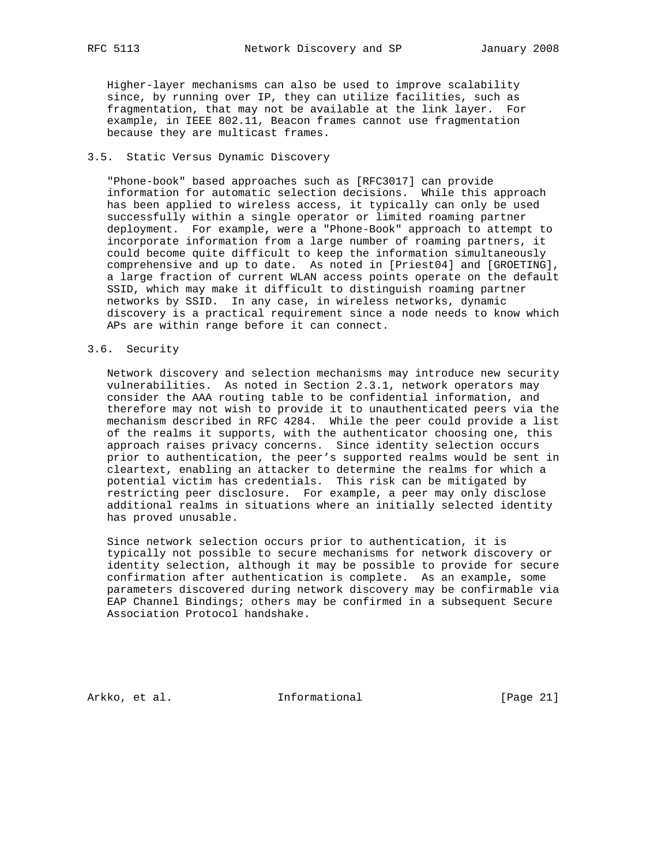Higher-layer mechanisms can also be used to improve scalability since, by running over IP, they can utilize facilities, such as fragmentation, that may not be available at the link layer. For example, in IEEE 802.11, Beacon frames cannot use fragmentation because they are multicast frames.

#### 3.5. Static Versus Dynamic Discovery

 "Phone-book" based approaches such as [RFC3017] can provide information for automatic selection decisions. While this approach has been applied to wireless access, it typically can only be used successfully within a single operator or limited roaming partner deployment. For example, were a "Phone-Book" approach to attempt to incorporate information from a large number of roaming partners, it could become quite difficult to keep the information simultaneously comprehensive and up to date. As noted in [Priest04] and [GROETING], a large fraction of current WLAN access points operate on the default SSID, which may make it difficult to distinguish roaming partner networks by SSID. In any case, in wireless networks, dynamic discovery is a practical requirement since a node needs to know which APs are within range before it can connect.

#### 3.6. Security

 Network discovery and selection mechanisms may introduce new security vulnerabilities. As noted in Section 2.3.1, network operators may consider the AAA routing table to be confidential information, and therefore may not wish to provide it to unauthenticated peers via the mechanism described in RFC 4284. While the peer could provide a list of the realms it supports, with the authenticator choosing one, this approach raises privacy concerns. Since identity selection occurs prior to authentication, the peer's supported realms would be sent in cleartext, enabling an attacker to determine the realms for which a potential victim has credentials. This risk can be mitigated by restricting peer disclosure. For example, a peer may only disclose additional realms in situations where an initially selected identity has proved unusable.

 Since network selection occurs prior to authentication, it is typically not possible to secure mechanisms for network discovery or identity selection, although it may be possible to provide for secure confirmation after authentication is complete. As an example, some parameters discovered during network discovery may be confirmable via EAP Channel Bindings; others may be confirmed in a subsequent Secure Association Protocol handshake.

Arkko, et al. 1nformational [Page 21]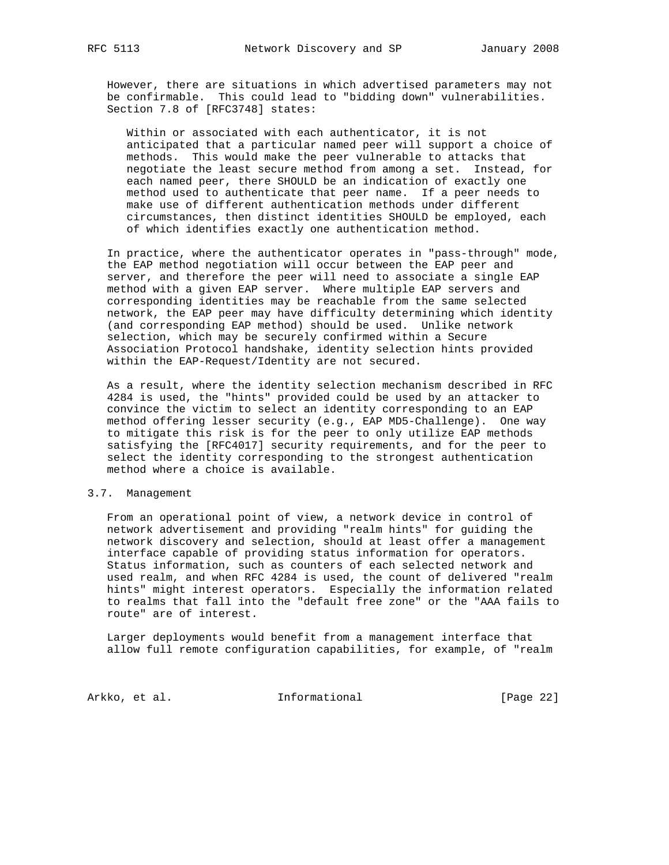However, there are situations in which advertised parameters may not be confirmable. This could lead to "bidding down" vulnerabilities. Section 7.8 of [RFC3748] states:

 Within or associated with each authenticator, it is not anticipated that a particular named peer will support a choice of methods. This would make the peer vulnerable to attacks that negotiate the least secure method from among a set. Instead, for each named peer, there SHOULD be an indication of exactly one method used to authenticate that peer name. If a peer needs to make use of different authentication methods under different circumstances, then distinct identities SHOULD be employed, each of which identifies exactly one authentication method.

 In practice, where the authenticator operates in "pass-through" mode, the EAP method negotiation will occur between the EAP peer and server, and therefore the peer will need to associate a single EAP method with a given EAP server. Where multiple EAP servers and corresponding identities may be reachable from the same selected network, the EAP peer may have difficulty determining which identity (and corresponding EAP method) should be used. Unlike network selection, which may be securely confirmed within a Secure Association Protocol handshake, identity selection hints provided within the EAP-Request/Identity are not secured.

 As a result, where the identity selection mechanism described in RFC 4284 is used, the "hints" provided could be used by an attacker to convince the victim to select an identity corresponding to an EAP method offering lesser security (e.g., EAP MD5-Challenge). One way to mitigate this risk is for the peer to only utilize EAP methods satisfying the [RFC4017] security requirements, and for the peer to select the identity corresponding to the strongest authentication method where a choice is available.

#### 3.7. Management

 From an operational point of view, a network device in control of network advertisement and providing "realm hints" for guiding the network discovery and selection, should at least offer a management interface capable of providing status information for operators. Status information, such as counters of each selected network and used realm, and when RFC 4284 is used, the count of delivered "realm hints" might interest operators. Especially the information related to realms that fall into the "default free zone" or the "AAA fails to route" are of interest.

 Larger deployments would benefit from a management interface that allow full remote configuration capabilities, for example, of "realm

Arkko, et al. 1nformational [Page 22]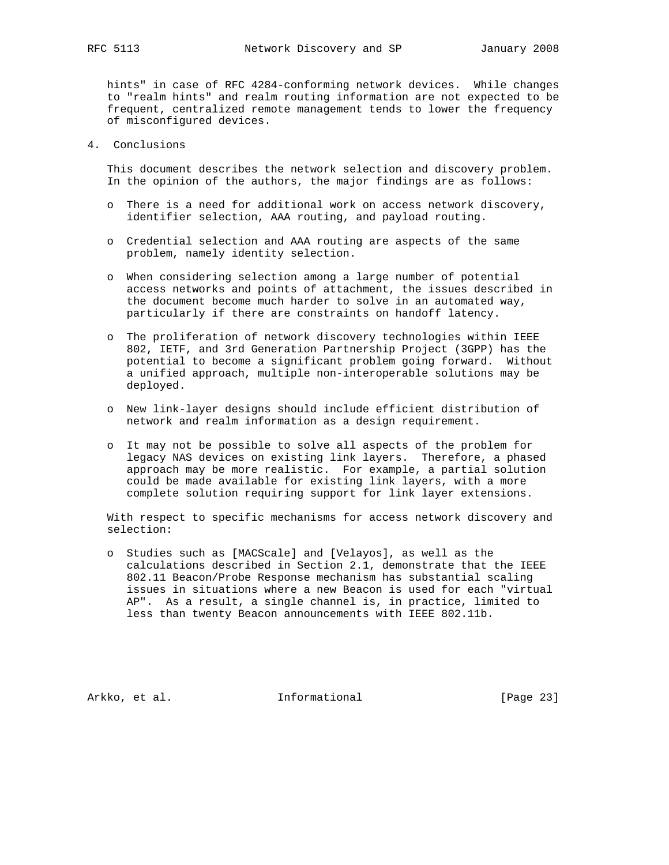hints" in case of RFC 4284-conforming network devices. While changes to "realm hints" and realm routing information are not expected to be frequent, centralized remote management tends to lower the frequency of misconfigured devices.

4. Conclusions

 This document describes the network selection and discovery problem. In the opinion of the authors, the major findings are as follows:

- o There is a need for additional work on access network discovery, identifier selection, AAA routing, and payload routing.
- o Credential selection and AAA routing are aspects of the same problem, namely identity selection.
- o When considering selection among a large number of potential access networks and points of attachment, the issues described in the document become much harder to solve in an automated way, particularly if there are constraints on handoff latency.
- o The proliferation of network discovery technologies within IEEE 802, IETF, and 3rd Generation Partnership Project (3GPP) has the potential to become a significant problem going forward. Without a unified approach, multiple non-interoperable solutions may be deployed.
- o New link-layer designs should include efficient distribution of network and realm information as a design requirement.
- o It may not be possible to solve all aspects of the problem for legacy NAS devices on existing link layers. Therefore, a phased approach may be more realistic. For example, a partial solution could be made available for existing link layers, with a more complete solution requiring support for link layer extensions.

 With respect to specific mechanisms for access network discovery and selection:

 o Studies such as [MACScale] and [Velayos], as well as the calculations described in Section 2.1, demonstrate that the IEEE 802.11 Beacon/Probe Response mechanism has substantial scaling issues in situations where a new Beacon is used for each "virtual AP". As a result, a single channel is, in practice, limited to less than twenty Beacon announcements with IEEE 802.11b.

Arkko, et al. 1nformational [Page 23]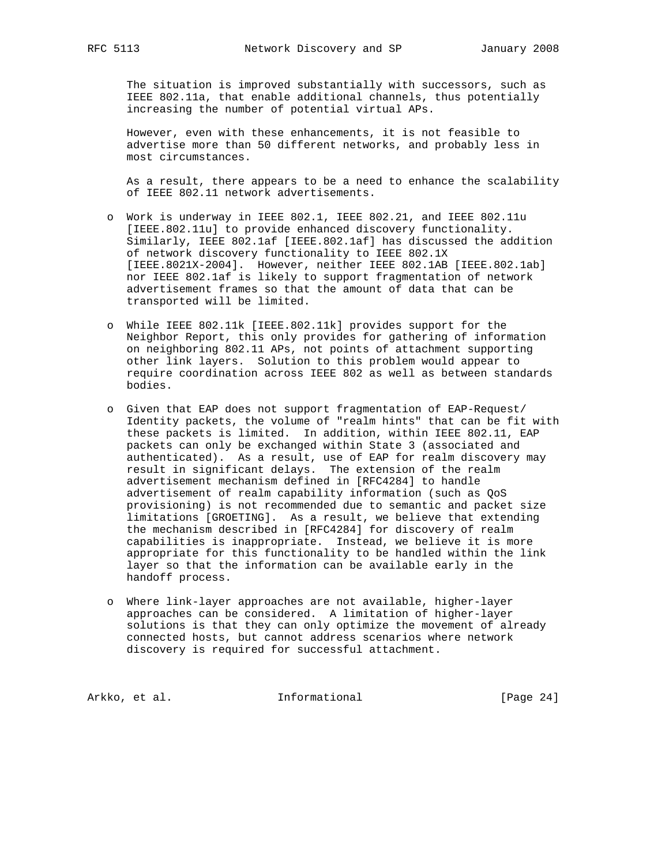The situation is improved substantially with successors, such as IEEE 802.11a, that enable additional channels, thus potentially increasing the number of potential virtual APs.

 However, even with these enhancements, it is not feasible to advertise more than 50 different networks, and probably less in most circumstances.

 As a result, there appears to be a need to enhance the scalability of IEEE 802.11 network advertisements.

- o Work is underway in IEEE 802.1, IEEE 802.21, and IEEE 802.11u [IEEE.802.11u] to provide enhanced discovery functionality. Similarly, IEEE 802.1af [IEEE.802.1af] has discussed the addition of network discovery functionality to IEEE 802.1X [IEEE.8021X-2004]. However, neither IEEE 802.1AB [IEEE.802.1ab] nor IEEE 802.1af is likely to support fragmentation of network advertisement frames so that the amount of data that can be transported will be limited.
- o While IEEE 802.11k [IEEE.802.11k] provides support for the Neighbor Report, this only provides for gathering of information on neighboring 802.11 APs, not points of attachment supporting other link layers. Solution to this problem would appear to require coordination across IEEE 802 as well as between standards bodies.
- o Given that EAP does not support fragmentation of EAP-Request/ Identity packets, the volume of "realm hints" that can be fit with these packets is limited. In addition, within IEEE 802.11, EAP packets can only be exchanged within State 3 (associated and authenticated). As a result, use of EAP for realm discovery may result in significant delays. The extension of the realm advertisement mechanism defined in [RFC4284] to handle advertisement of realm capability information (such as QoS provisioning) is not recommended due to semantic and packet size limitations [GROETING]. As a result, we believe that extending the mechanism described in [RFC4284] for discovery of realm capabilities is inappropriate. Instead, we believe it is more appropriate for this functionality to be handled within the link layer so that the information can be available early in the handoff process.
- o Where link-layer approaches are not available, higher-layer approaches can be considered. A limitation of higher-layer solutions is that they can only optimize the movement of already connected hosts, but cannot address scenarios where network discovery is required for successful attachment.

Arkko, et al. 1nformational [Page 24]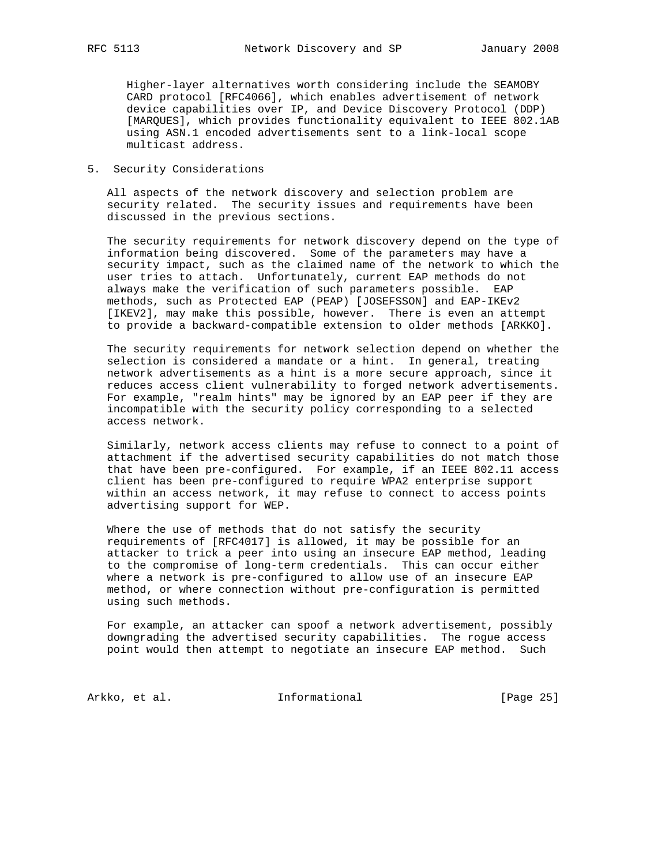Higher-layer alternatives worth considering include the SEAMOBY CARD protocol [RFC4066], which enables advertisement of network device capabilities over IP, and Device Discovery Protocol (DDP) [MARQUES], which provides functionality equivalent to IEEE 802.1AB using ASN.1 encoded advertisements sent to a link-local scope multicast address.

5. Security Considerations

 All aspects of the network discovery and selection problem are security related. The security issues and requirements have been discussed in the previous sections.

 The security requirements for network discovery depend on the type of information being discovered. Some of the parameters may have a security impact, such as the claimed name of the network to which the user tries to attach. Unfortunately, current EAP methods do not always make the verification of such parameters possible. EAP methods, such as Protected EAP (PEAP) [JOSEFSSON] and EAP-IKEv2 [IKEV2], may make this possible, however. There is even an attempt to provide a backward-compatible extension to older methods [ARKKO].

 The security requirements for network selection depend on whether the selection is considered a mandate or a hint. In general, treating network advertisements as a hint is a more secure approach, since it reduces access client vulnerability to forged network advertisements. For example, "realm hints" may be ignored by an EAP peer if they are incompatible with the security policy corresponding to a selected access network.

 Similarly, network access clients may refuse to connect to a point of attachment if the advertised security capabilities do not match those that have been pre-configured. For example, if an IEEE 802.11 access client has been pre-configured to require WPA2 enterprise support within an access network, it may refuse to connect to access points advertising support for WEP.

 Where the use of methods that do not satisfy the security requirements of [RFC4017] is allowed, it may be possible for an attacker to trick a peer into using an insecure EAP method, leading to the compromise of long-term credentials. This can occur either where a network is pre-configured to allow use of an insecure EAP method, or where connection without pre-configuration is permitted using such methods.

 For example, an attacker can spoof a network advertisement, possibly downgrading the advertised security capabilities. The rogue access point would then attempt to negotiate an insecure EAP method. Such

Arkko, et al. 100 Informational 100 [Page 25]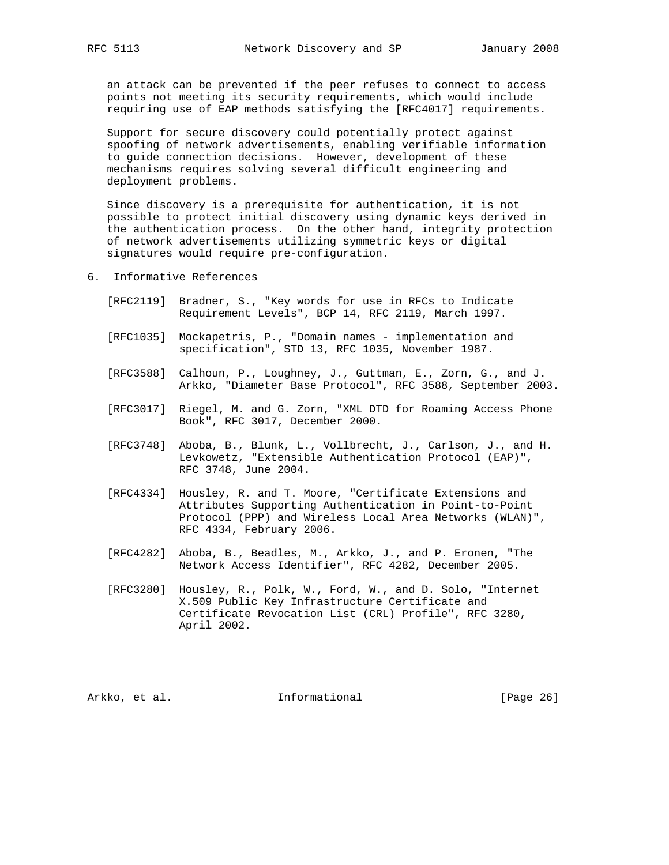an attack can be prevented if the peer refuses to connect to access points not meeting its security requirements, which would include requiring use of EAP methods satisfying the [RFC4017] requirements.

 Support for secure discovery could potentially protect against spoofing of network advertisements, enabling verifiable information to guide connection decisions. However, development of these mechanisms requires solving several difficult engineering and deployment problems.

 Since discovery is a prerequisite for authentication, it is not possible to protect initial discovery using dynamic keys derived in the authentication process. On the other hand, integrity protection of network advertisements utilizing symmetric keys or digital signatures would require pre-configuration.

- 6. Informative References
	- [RFC2119] Bradner, S., "Key words for use in RFCs to Indicate Requirement Levels", BCP 14, RFC 2119, March 1997.
	- [RFC1035] Mockapetris, P., "Domain names implementation and specification", STD 13, RFC 1035, November 1987.
	- [RFC3588] Calhoun, P., Loughney, J., Guttman, E., Zorn, G., and J. Arkko, "Diameter Base Protocol", RFC 3588, September 2003.
	- [RFC3017] Riegel, M. and G. Zorn, "XML DTD for Roaming Access Phone Book", RFC 3017, December 2000.
	- [RFC3748] Aboba, B., Blunk, L., Vollbrecht, J., Carlson, J., and H. Levkowetz, "Extensible Authentication Protocol (EAP)", RFC 3748, June 2004.
	- [RFC4334] Housley, R. and T. Moore, "Certificate Extensions and Attributes Supporting Authentication in Point-to-Point Protocol (PPP) and Wireless Local Area Networks (WLAN)", RFC 4334, February 2006.
	- [RFC4282] Aboba, B., Beadles, M., Arkko, J., and P. Eronen, "The Network Access Identifier", RFC 4282, December 2005.
	- [RFC3280] Housley, R., Polk, W., Ford, W., and D. Solo, "Internet X.509 Public Key Infrastructure Certificate and Certificate Revocation List (CRL) Profile", RFC 3280, April 2002.

Arkko, et al. 1nformational [Page 26]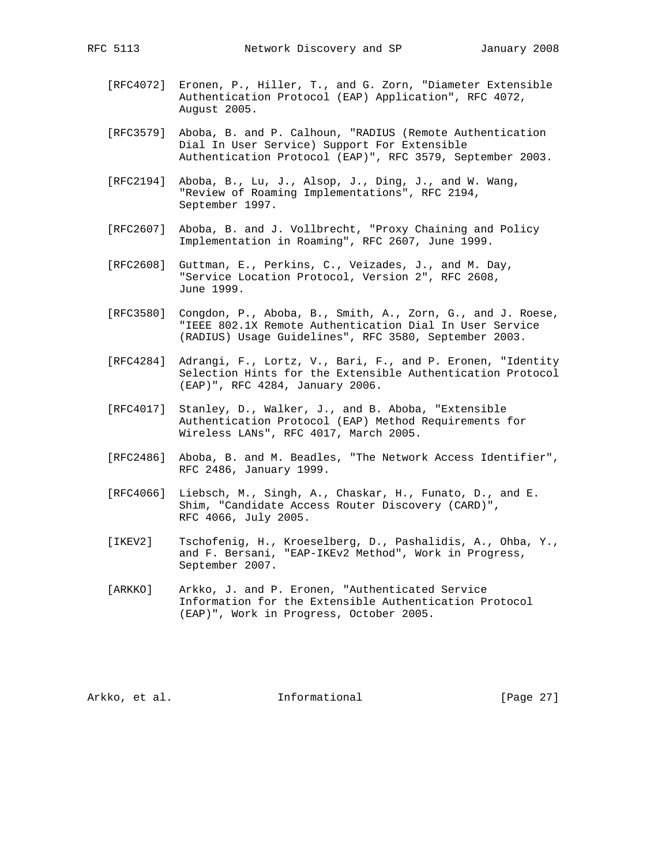- [RFC4072] Eronen, P., Hiller, T., and G. Zorn, "Diameter Extensible Authentication Protocol (EAP) Application", RFC 4072, August 2005.
- [RFC3579] Aboba, B. and P. Calhoun, "RADIUS (Remote Authentication Dial In User Service) Support For Extensible Authentication Protocol (EAP)", RFC 3579, September 2003.
- [RFC2194] Aboba, B., Lu, J., Alsop, J., Ding, J., and W. Wang, "Review of Roaming Implementations", RFC 2194, September 1997.
- [RFC2607] Aboba, B. and J. Vollbrecht, "Proxy Chaining and Policy Implementation in Roaming", RFC 2607, June 1999.
- [RFC2608] Guttman, E., Perkins, C., Veizades, J., and M. Day, "Service Location Protocol, Version 2", RFC 2608, June 1999.
- [RFC3580] Congdon, P., Aboba, B., Smith, A., Zorn, G., and J. Roese, "IEEE 802.1X Remote Authentication Dial In User Service (RADIUS) Usage Guidelines", RFC 3580, September 2003.
- [RFC4284] Adrangi, F., Lortz, V., Bari, F., and P. Eronen, "Identity Selection Hints for the Extensible Authentication Protocol (EAP)", RFC 4284, January 2006.
- [RFC4017] Stanley, D., Walker, J., and B. Aboba, "Extensible Authentication Protocol (EAP) Method Requirements for Wireless LANs", RFC 4017, March 2005.
- [RFC2486] Aboba, B. and M. Beadles, "The Network Access Identifier", RFC 2486, January 1999.
- [RFC4066] Liebsch, M., Singh, A., Chaskar, H., Funato, D., and E. Shim, "Candidate Access Router Discovery (CARD)", RFC 4066, July 2005.
- [IKEV2] Tschofenig, H., Kroeselberg, D., Pashalidis, A., Ohba, Y., and F. Bersani, "EAP-IKEv2 Method", Work in Progress, September 2007.
- [ARKKO] Arkko, J. and P. Eronen, "Authenticated Service Information for the Extensible Authentication Protocol (EAP)", Work in Progress, October 2005.

Arkko, et al. 1nformational [Page 27]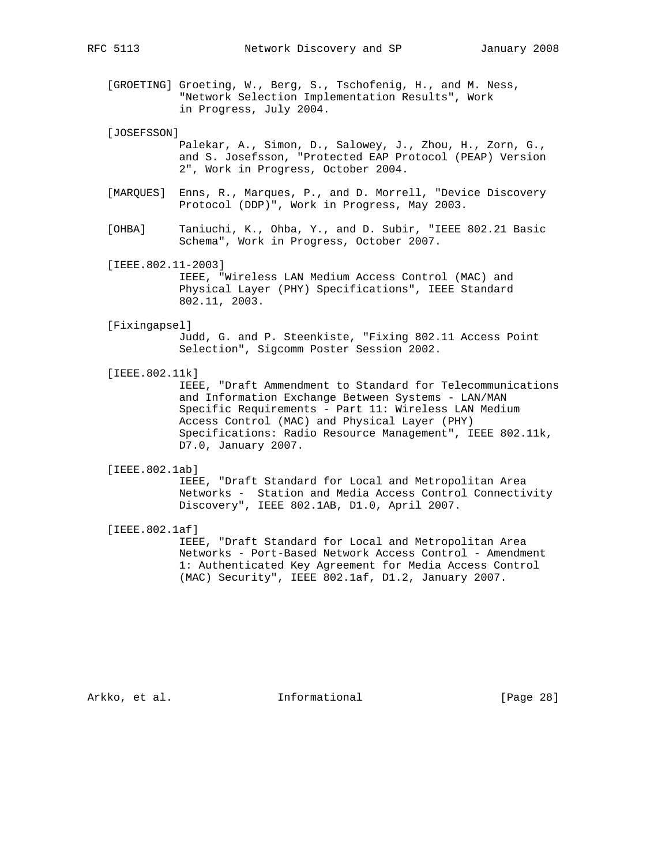[GROETING] Groeting, W., Berg, S., Tschofenig, H., and M. Ness, "Network Selection Implementation Results", Work in Progress, July 2004.

[JOSEFSSON]

 Palekar, A., Simon, D., Salowey, J., Zhou, H., Zorn, G., and S. Josefsson, "Protected EAP Protocol (PEAP) Version 2", Work in Progress, October 2004.

- [MARQUES] Enns, R., Marques, P., and D. Morrell, "Device Discovery Protocol (DDP)", Work in Progress, May 2003.
- [OHBA] Taniuchi, K., Ohba, Y., and D. Subir, "IEEE 802.21 Basic Schema", Work in Progress, October 2007.

 [IEEE.802.11-2003] IEEE, "Wireless LAN Medium Access Control (MAC) and Physical Layer (PHY) Specifications", IEEE Standard 802.11, 2003.

[Fixingapsel]

 Judd, G. and P. Steenkiste, "Fixing 802.11 Access Point Selection", Sigcomm Poster Session 2002.

[IEEE.802.11k]

 IEEE, "Draft Ammendment to Standard for Telecommunications and Information Exchange Between Systems - LAN/MAN Specific Requirements - Part 11: Wireless LAN Medium Access Control (MAC) and Physical Layer (PHY) Specifications: Radio Resource Management", IEEE 802.11k, D7.0, January 2007.

[IEEE.802.1ab]

 IEEE, "Draft Standard for Local and Metropolitan Area Networks - Station and Media Access Control Connectivity Discovery", IEEE 802.1AB, D1.0, April 2007.

[IEEE.802.1af]

 IEEE, "Draft Standard for Local and Metropolitan Area Networks - Port-Based Network Access Control - Amendment 1: Authenticated Key Agreement for Media Access Control (MAC) Security", IEEE 802.1af, D1.2, January 2007.

Arkko, et al. 1nformational [Page 28]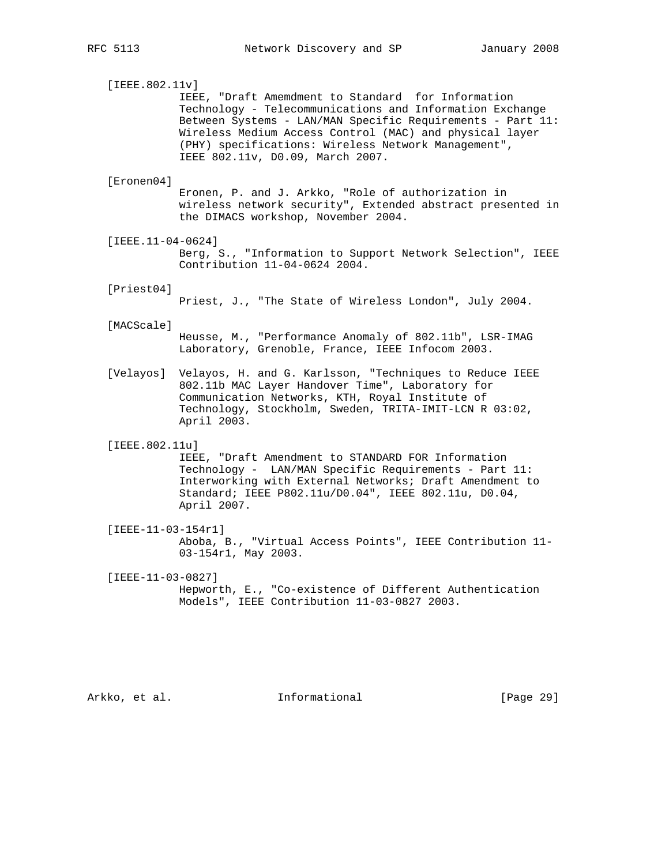[IEEE.802.11v] IEEE, "Draft Amemdment to Standard for Information Technology - Telecommunications and Information Exchange Between Systems - LAN/MAN Specific Requirements - Part 11: Wireless Medium Access Control (MAC) and physical layer (PHY) specifications: Wireless Network Management", IEEE 802.11v, D0.09, March 2007. [Eronen04] Eronen, P. and J. Arkko, "Role of authorization in wireless network security", Extended abstract presented in the DIMACS workshop, November 2004. [IEEE.11-04-0624] Berg, S., "Information to Support Network Selection", IEEE Contribution 11-04-0624 2004. [Priest04] Priest, J., "The State of Wireless London", July 2004. [MACScale] Heusse, M., "Performance Anomaly of 802.11b", LSR-IMAG Laboratory, Grenoble, France, IEEE Infocom 2003. [Velayos] Velayos, H. and G. Karlsson, "Techniques to Reduce IEEE 802.11b MAC Layer Handover Time", Laboratory for Communication Networks, KTH, Royal Institute of Technology, Stockholm, Sweden, TRITA-IMIT-LCN R 03:02, April 2003. [IEEE.802.11u] IEEE, "Draft Amendment to STANDARD FOR Information Technology - LAN/MAN Specific Requirements - Part 11: Interworking with External Networks; Draft Amendment to Standard; IEEE P802.11u/D0.04", IEEE 802.11u, D0.04, April 2007. [IEEE-11-03-154r1] Aboba, B., "Virtual Access Points", IEEE Contribution 11- 03-154r1, May 2003. [IEEE-11-03-0827] Hepworth, E., "Co-existence of Different Authentication Models", IEEE Contribution 11-03-0827 2003.

Arkko, et al. 1nformational [Page 29]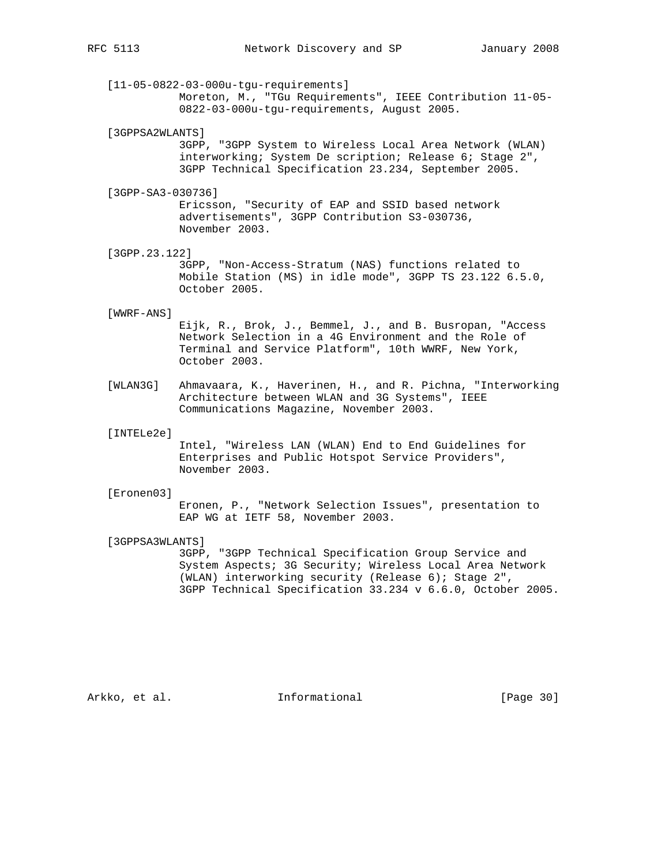[11-05-0822-03-000u-tgu-requirements] Moreton, M., "TGu Requirements", IEEE Contribution 11-05- 0822-03-000u-tgu-requirements, August 2005.

[3GPPSA2WLANTS]

 3GPP, "3GPP System to Wireless Local Area Network (WLAN) interworking; System De scription; Release 6; Stage 2", 3GPP Technical Specification 23.234, September 2005.

[3GPP-SA3-030736]

 Ericsson, "Security of EAP and SSID based network advertisements", 3GPP Contribution S3-030736, November 2003.

[3GPP.23.122]

 3GPP, "Non-Access-Stratum (NAS) functions related to Mobile Station (MS) in idle mode", 3GPP TS 23.122 6.5.0, October 2005.

#### [WWRF-ANS]

 Eijk, R., Brok, J., Bemmel, J., and B. Busropan, "Access Network Selection in a 4G Environment and the Role of Terminal and Service Platform", 10th WWRF, New York, October 2003.

 [WLAN3G] Ahmavaara, K., Haverinen, H., and R. Pichna, "Interworking Architecture between WLAN and 3G Systems", IEEE Communications Magazine, November 2003.

#### [INTELe2e]

 Intel, "Wireless LAN (WLAN) End to End Guidelines for Enterprises and Public Hotspot Service Providers", November 2003.

#### [Eronen03]

 Eronen, P., "Network Selection Issues", presentation to EAP WG at IETF 58, November 2003.

[3GPPSA3WLANTS]

 3GPP, "3GPP Technical Specification Group Service and System Aspects; 3G Security; Wireless Local Area Network (WLAN) interworking security (Release 6); Stage 2", 3GPP Technical Specification 33.234 v 6.6.0, October 2005.

Arkko, et al. 1nformational [Page 30]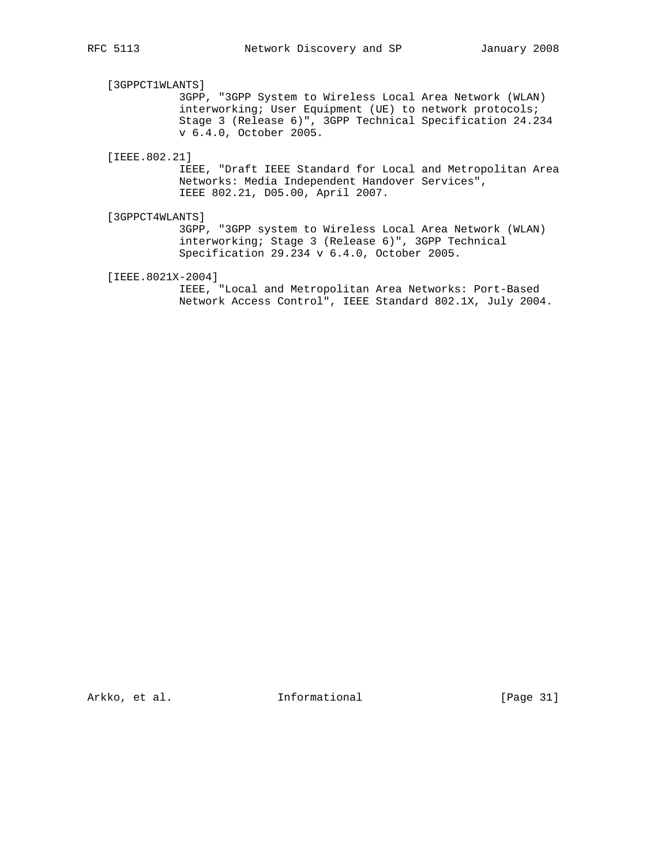# [3GPPCT1WLANTS]

 3GPP, "3GPP System to Wireless Local Area Network (WLAN) interworking; User Equipment (UE) to network protocols; Stage 3 (Release 6)", 3GPP Technical Specification 24.234 v 6.4.0, October 2005.

[IEEE.802.21]

 IEEE, "Draft IEEE Standard for Local and Metropolitan Area Networks: Media Independent Handover Services", IEEE 802.21, D05.00, April 2007.

[3GPPCT4WLANTS]

 3GPP, "3GPP system to Wireless Local Area Network (WLAN) interworking; Stage 3 (Release 6)", 3GPP Technical Specification 29.234 v 6.4.0, October 2005.

[IEEE.8021X-2004]

 IEEE, "Local and Metropolitan Area Networks: Port-Based Network Access Control", IEEE Standard 802.1X, July 2004.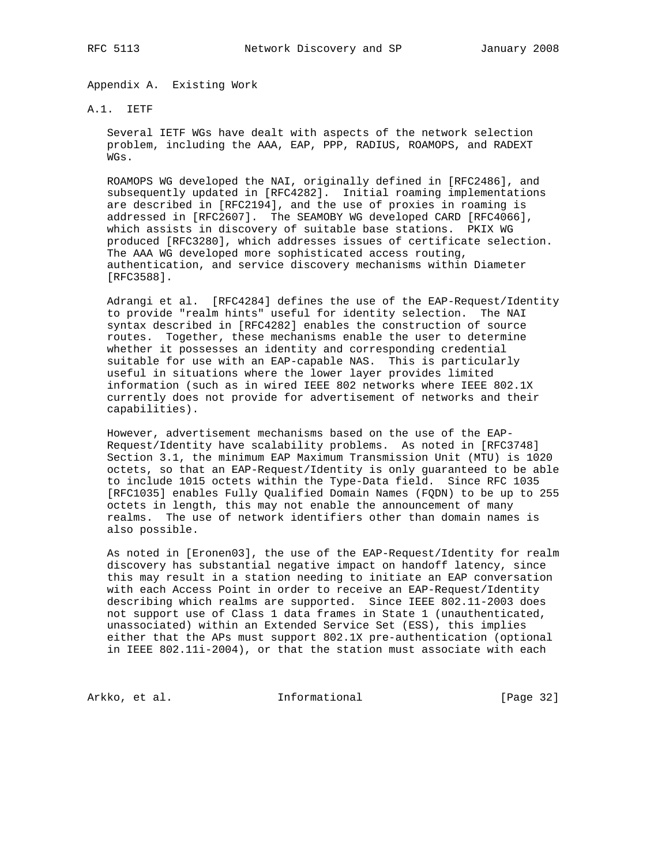Appendix A. Existing Work

#### A.1. IETF

 Several IETF WGs have dealt with aspects of the network selection problem, including the AAA, EAP, PPP, RADIUS, ROAMOPS, and RADEXT WGs.

 ROAMOPS WG developed the NAI, originally defined in [RFC2486], and subsequently updated in [RFC4282]. Initial roaming implementations are described in [RFC2194], and the use of proxies in roaming is addressed in [RFC2607]. The SEAMOBY WG developed CARD [RFC4066], which assists in discovery of suitable base stations. PKIX WG produced [RFC3280], which addresses issues of certificate selection. The AAA WG developed more sophisticated access routing, authentication, and service discovery mechanisms within Diameter [RFC3588].

 Adrangi et al. [RFC4284] defines the use of the EAP-Request/Identity to provide "realm hints" useful for identity selection. The NAI syntax described in [RFC4282] enables the construction of source routes. Together, these mechanisms enable the user to determine whether it possesses an identity and corresponding credential suitable for use with an EAP-capable NAS. This is particularly useful in situations where the lower layer provides limited information (such as in wired IEEE 802 networks where IEEE 802.1X currently does not provide for advertisement of networks and their capabilities).

 However, advertisement mechanisms based on the use of the EAP- Request/Identity have scalability problems. As noted in [RFC3748] Section 3.1, the minimum EAP Maximum Transmission Unit (MTU) is 1020 octets, so that an EAP-Request/Identity is only guaranteed to be able to include 1015 octets within the Type-Data field. Since RFC 1035 [RFC1035] enables Fully Qualified Domain Names (FQDN) to be up to 255 octets in length, this may not enable the announcement of many realms. The use of network identifiers other than domain names is also possible.

 As noted in [Eronen03], the use of the EAP-Request/Identity for realm discovery has substantial negative impact on handoff latency, since this may result in a station needing to initiate an EAP conversation with each Access Point in order to receive an EAP-Request/Identity describing which realms are supported. Since IEEE 802.11-2003 does not support use of Class 1 data frames in State 1 (unauthenticated, unassociated) within an Extended Service Set (ESS), this implies either that the APs must support 802.1X pre-authentication (optional in IEEE 802.11i-2004), or that the station must associate with each

Arkko, et al. 1nformational 1999 [Page 32]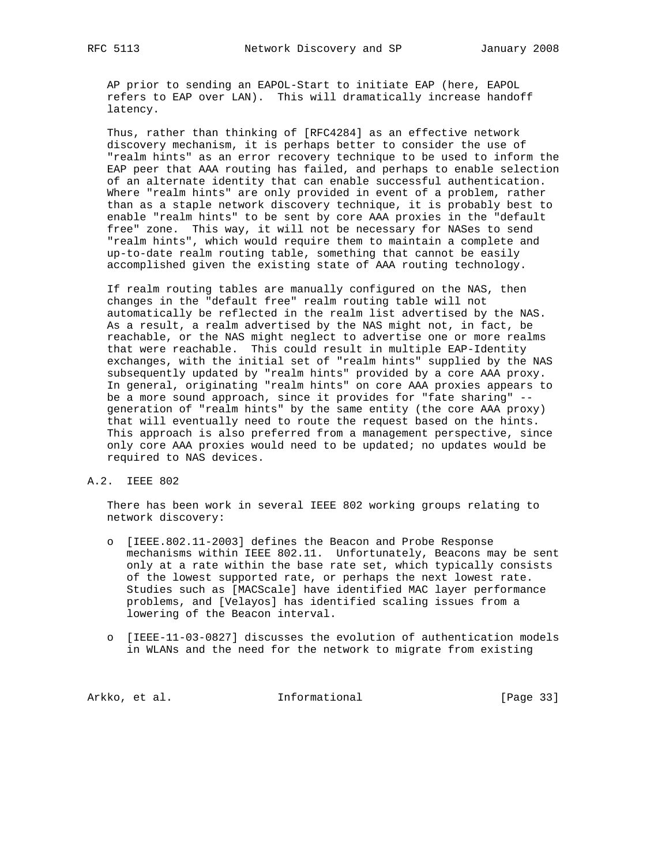AP prior to sending an EAPOL-Start to initiate EAP (here, EAPOL refers to EAP over LAN). This will dramatically increase handoff latency.

 Thus, rather than thinking of [RFC4284] as an effective network discovery mechanism, it is perhaps better to consider the use of "realm hints" as an error recovery technique to be used to inform the EAP peer that AAA routing has failed, and perhaps to enable selection of an alternate identity that can enable successful authentication. Where "realm hints" are only provided in event of a problem, rather than as a staple network discovery technique, it is probably best to enable "realm hints" to be sent by core AAA proxies in the "default free" zone. This way, it will not be necessary for NASes to send "realm hints", which would require them to maintain a complete and up-to-date realm routing table, something that cannot be easily accomplished given the existing state of AAA routing technology.

 If realm routing tables are manually configured on the NAS, then changes in the "default free" realm routing table will not automatically be reflected in the realm list advertised by the NAS. As a result, a realm advertised by the NAS might not, in fact, be reachable, or the NAS might neglect to advertise one or more realms that were reachable. This could result in multiple EAP-Identity exchanges, with the initial set of "realm hints" supplied by the NAS subsequently updated by "realm hints" provided by a core AAA proxy. In general, originating "realm hints" on core AAA proxies appears to be a more sound approach, since it provides for "fate sharing" - generation of "realm hints" by the same entity (the core AAA proxy) that will eventually need to route the request based on the hints. This approach is also preferred from a management perspective, since only core AAA proxies would need to be updated; no updates would be required to NAS devices.

A.2. IEEE 802

 There has been work in several IEEE 802 working groups relating to network discovery:

- o [IEEE.802.11-2003] defines the Beacon and Probe Response mechanisms within IEEE 802.11. Unfortunately, Beacons may be sent only at a rate within the base rate set, which typically consists of the lowest supported rate, or perhaps the next lowest rate. Studies such as [MACScale] have identified MAC layer performance problems, and [Velayos] has identified scaling issues from a lowering of the Beacon interval.
- o [IEEE-11-03-0827] discusses the evolution of authentication models in WLANs and the need for the network to migrate from existing

Arkko, et al. 1nformational [Page 33]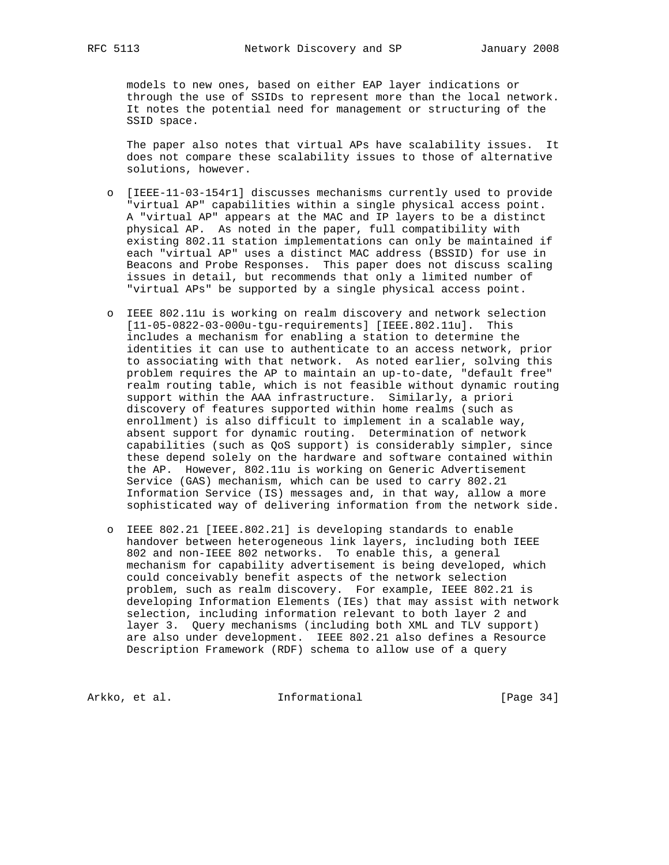models to new ones, based on either EAP layer indications or through the use of SSIDs to represent more than the local network. It notes the potential need for management or structuring of the SSID space.

 The paper also notes that virtual APs have scalability issues. It does not compare these scalability issues to those of alternative solutions, however.

- o [IEEE-11-03-154r1] discusses mechanisms currently used to provide "virtual AP" capabilities within a single physical access point. A "virtual AP" appears at the MAC and IP layers to be a distinct physical AP. As noted in the paper, full compatibility with existing 802.11 station implementations can only be maintained if each "virtual AP" uses a distinct MAC address (BSSID) for use in Beacons and Probe Responses. This paper does not discuss scaling issues in detail, but recommends that only a limited number of "virtual APs" be supported by a single physical access point.
- o IEEE 802.11u is working on realm discovery and network selection [11-05-0822-03-000u-tgu-requirements] [IEEE.802.11u]. This includes a mechanism for enabling a station to determine the identities it can use to authenticate to an access network, prior to associating with that network. As noted earlier, solving this problem requires the AP to maintain an up-to-date, "default free" realm routing table, which is not feasible without dynamic routing support within the AAA infrastructure. Similarly, a priori discovery of features supported within home realms (such as enrollment) is also difficult to implement in a scalable way, absent support for dynamic routing. Determination of network capabilities (such as QoS support) is considerably simpler, since these depend solely on the hardware and software contained within the AP. However, 802.11u is working on Generic Advertisement Service (GAS) mechanism, which can be used to carry 802.21 Information Service (IS) messages and, in that way, allow a more sophisticated way of delivering information from the network side.
- o IEEE 802.21 [IEEE.802.21] is developing standards to enable handover between heterogeneous link layers, including both IEEE 802 and non-IEEE 802 networks. To enable this, a general mechanism for capability advertisement is being developed, which could conceivably benefit aspects of the network selection problem, such as realm discovery. For example, IEEE 802.21 is developing Information Elements (IEs) that may assist with network selection, including information relevant to both layer 2 and layer 3. Query mechanisms (including both XML and TLV support) are also under development. IEEE 802.21 also defines a Resource Description Framework (RDF) schema to allow use of a query

Arkko, et al. 1nformational [Page 34]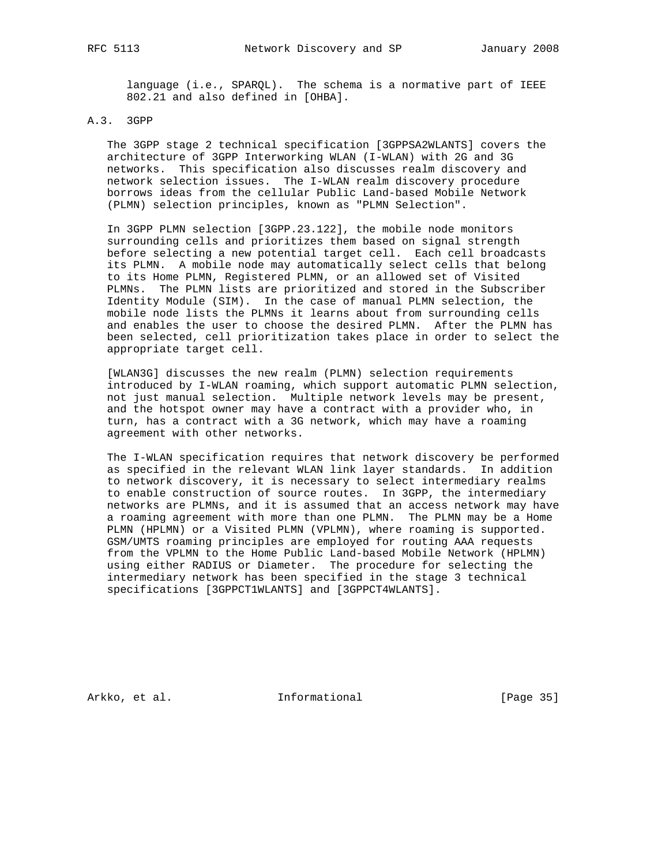language (i.e., SPARQL). The schema is a normative part of IEEE 802.21 and also defined in [OHBA].

## A.3. 3GPP

 The 3GPP stage 2 technical specification [3GPPSA2WLANTS] covers the architecture of 3GPP Interworking WLAN (I-WLAN) with 2G and 3G networks. This specification also discusses realm discovery and network selection issues. The I-WLAN realm discovery procedure borrows ideas from the cellular Public Land-based Mobile Network (PLMN) selection principles, known as "PLMN Selection".

 In 3GPP PLMN selection [3GPP.23.122], the mobile node monitors surrounding cells and prioritizes them based on signal strength before selecting a new potential target cell. Each cell broadcasts its PLMN. A mobile node may automatically select cells that belong to its Home PLMN, Registered PLMN, or an allowed set of Visited PLMNs. The PLMN lists are prioritized and stored in the Subscriber Identity Module (SIM). In the case of manual PLMN selection, the mobile node lists the PLMNs it learns about from surrounding cells and enables the user to choose the desired PLMN. After the PLMN has been selected, cell prioritization takes place in order to select the appropriate target cell.

 [WLAN3G] discusses the new realm (PLMN) selection requirements introduced by I-WLAN roaming, which support automatic PLMN selection, not just manual selection. Multiple network levels may be present, and the hotspot owner may have a contract with a provider who, in turn, has a contract with a 3G network, which may have a roaming agreement with other networks.

 The I-WLAN specification requires that network discovery be performed as specified in the relevant WLAN link layer standards. In addition to network discovery, it is necessary to select intermediary realms to enable construction of source routes. In 3GPP, the intermediary networks are PLMNs, and it is assumed that an access network may have a roaming agreement with more than one PLMN. The PLMN may be a Home PLMN (HPLMN) or a Visited PLMN (VPLMN), where roaming is supported. GSM/UMTS roaming principles are employed for routing AAA requests from the VPLMN to the Home Public Land-based Mobile Network (HPLMN) using either RADIUS or Diameter. The procedure for selecting the intermediary network has been specified in the stage 3 technical specifications [3GPPCT1WLANTS] and [3GPPCT4WLANTS].

Arkko, et al. 1nformational [Page 35]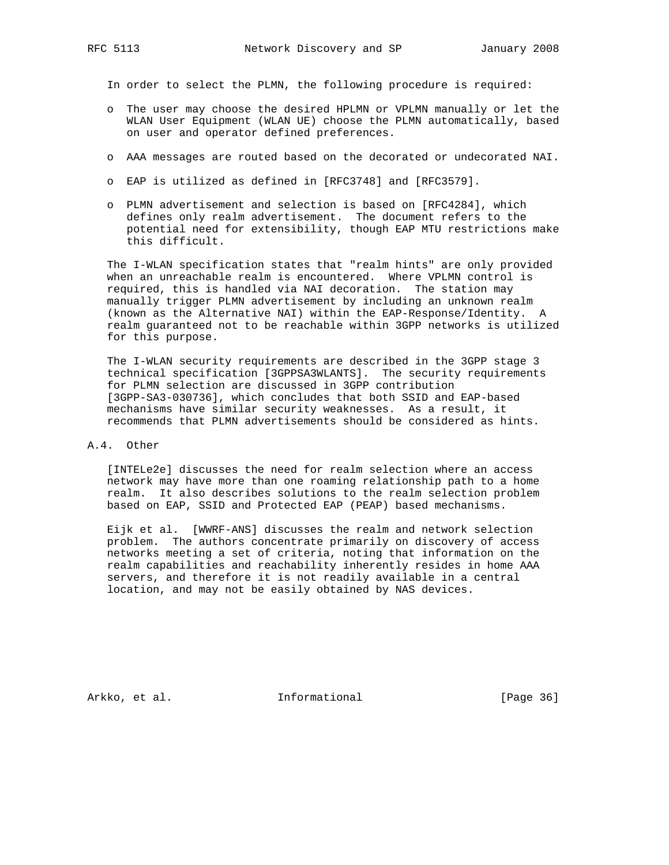In order to select the PLMN, the following procedure is required:

- o The user may choose the desired HPLMN or VPLMN manually or let the WLAN User Equipment (WLAN UE) choose the PLMN automatically, based on user and operator defined preferences.
- o AAA messages are routed based on the decorated or undecorated NAI.
- o EAP is utilized as defined in [RFC3748] and [RFC3579].
- o PLMN advertisement and selection is based on [RFC4284], which defines only realm advertisement. The document refers to the potential need for extensibility, though EAP MTU restrictions make this difficult.

 The I-WLAN specification states that "realm hints" are only provided when an unreachable realm is encountered. Where VPLMN control is required, this is handled via NAI decoration. The station may manually trigger PLMN advertisement by including an unknown realm (known as the Alternative NAI) within the EAP-Response/Identity. A realm guaranteed not to be reachable within 3GPP networks is utilized for this purpose.

 The I-WLAN security requirements are described in the 3GPP stage 3 technical specification [3GPPSA3WLANTS]. The security requirements for PLMN selection are discussed in 3GPP contribution [3GPP-SA3-030736], which concludes that both SSID and EAP-based mechanisms have similar security weaknesses. As a result, it recommends that PLMN advertisements should be considered as hints.

#### A.4. Other

 [INTELe2e] discusses the need for realm selection where an access network may have more than one roaming relationship path to a home realm. It also describes solutions to the realm selection problem based on EAP, SSID and Protected EAP (PEAP) based mechanisms.

 Eijk et al. [WWRF-ANS] discusses the realm and network selection problem. The authors concentrate primarily on discovery of access networks meeting a set of criteria, noting that information on the realm capabilities and reachability inherently resides in home AAA servers, and therefore it is not readily available in a central location, and may not be easily obtained by NAS devices.

Arkko, et al. 1nformational 1998 [Page 36]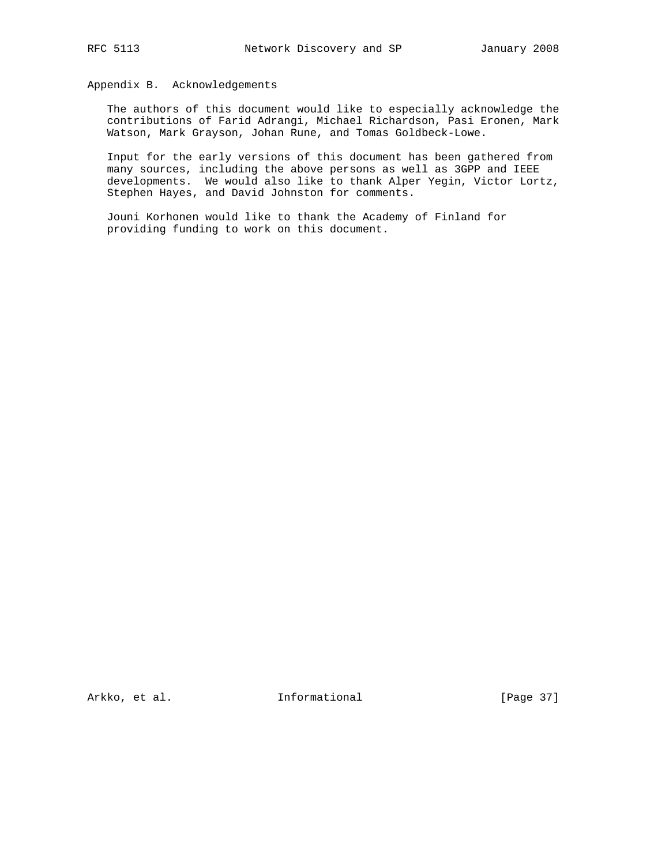#### Appendix B. Acknowledgements

 The authors of this document would like to especially acknowledge the contributions of Farid Adrangi, Michael Richardson, Pasi Eronen, Mark Watson, Mark Grayson, Johan Rune, and Tomas Goldbeck-Lowe.

 Input for the early versions of this document has been gathered from many sources, including the above persons as well as 3GPP and IEEE developments. We would also like to thank Alper Yegin, Victor Lortz, Stephen Hayes, and David Johnston for comments.

 Jouni Korhonen would like to thank the Academy of Finland for providing funding to work on this document.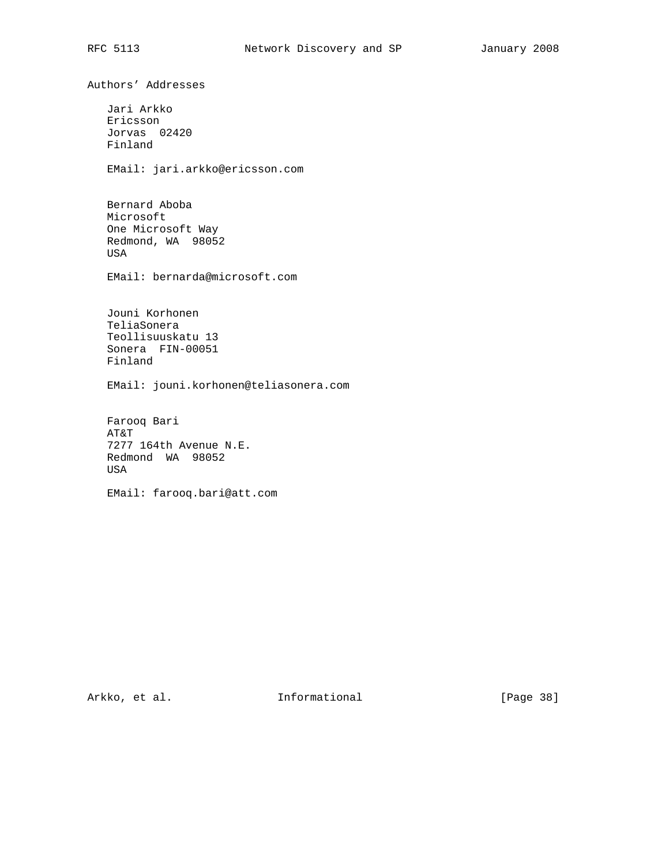Authors' Addresses Jari Arkko Ericsson Jorvas 02420 Finland EMail: jari.arkko@ericsson.com Bernard Aboba Microsoft One Microsoft Way Redmond, WA 98052 USA EMail: bernarda@microsoft.com Jouni Korhonen TeliaSonera Teollisuuskatu 13 Sonera FIN-00051 Finland EMail: jouni.korhonen@teliasonera.com Farooq Bari AT&T 7277 164th Avenue N.E. Redmond WA 98052 USA

EMail: farooq.bari@att.com

Arkko, et al. 100 Informational 100 [Page 38]